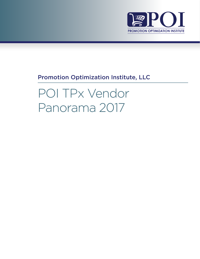

# Promotion Optimization Institute, LLC

POI TPx Vendor Panorama 2017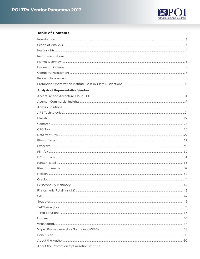

# **Table of Contents**

| <b>Analysis of Representative Vendors:</b> |  |
|--------------------------------------------|--|
|                                            |  |
|                                            |  |
|                                            |  |
|                                            |  |
|                                            |  |
|                                            |  |
|                                            |  |
|                                            |  |
|                                            |  |
|                                            |  |
|                                            |  |
|                                            |  |
|                                            |  |
|                                            |  |
|                                            |  |
|                                            |  |
|                                            |  |
|                                            |  |
|                                            |  |
|                                            |  |
|                                            |  |
|                                            |  |
|                                            |  |
|                                            |  |
|                                            |  |
|                                            |  |
|                                            |  |
|                                            |  |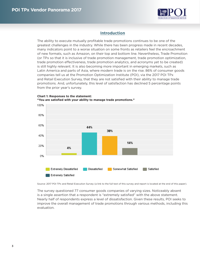

# **Introduction**

<span id="page-2-0"></span>The ability to execute mutually profitable trade promotions continues to be one of the greatest challenges in the industry. While there has been progress made in recent decades, many indicators point to a worse situation on some fronts as retailers feel the encroachment of new formats, such as Amazon, on their top and bottom line. Nevertheless, Trade Promotion (or TPx so that it is inclusive of trade promotion management, trade promotion optimization, trade promotion effectiveness, trade promotion analytics, and acronyms yet to be created) is still highly relevant. It is also becoming more important in emerging markets, such as Latin America and parts of Asia, where modern trade is on the rise. 86% of consumer goods companies tell us at the Promotion Optimization Institute (POI), via the 2017 POI TPx and Retail Execution Survey, that they are not satisfied with their ability to manage trade promotions. And, unfortunately, this level of satisfaction has declined 5 percentage points from the prior year's survey.



**Chart 1: Responses to the statement: "You are satisfied with your ability to manage trade promotions."**

Source: 2017 POI TPx and Retail Execution Survey (a link to the full text of this survey and report is located at the end of this paper).

The survey questioned 77 consumer goods companies of varying sizes. Noticeably absent is a single assertion that a respondent is "extremely satisfied" with the above statement. Nearly half of respondents express a level of dissatisfaction. Given these results, POI seeks to improve the overall management of trade promotions through various methods, including this evaluation.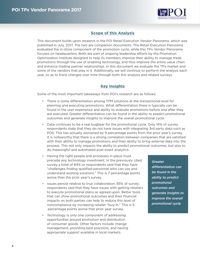

# **Scope of this Analysis**

<span id="page-3-0"></span>This document builds upon research in the POI Retail Execution Vendor Panorama, which was published in July, 2017. The two are companion documents. The Retail Execution Panorama evaluated the in-store component of the promotion cycle, while this TPx Vendor Panorama focuses on headquarters. Both are part of ongoing leadership efforts by the Promotion Optimization Institute designed to help its members improve their ability to manage trade promotions through the use of enabling technology, and thus improve the entire value chain and enhance trading partner relationships. In this document we evaluate the TPx market and some of the vendors that play in it. Additionally, we will continue to perform the analysis each year, so as to track changes over time through both this analysis and related surveys.

# **Key Insights**

Some of the most important takeaways from POI's research are as follows:

- There is some differentiation among TPM solutions at the transactional level for planning and executing promotions. What differentiation there is typically can be found in the user experience and ability to evaluate promotions before and after they are executed. Greater differentiation can be found in the ability to predict promotional outcomes and generate insights to improve the overall promotional cycle.
- Data continues to be a real bugbear for the promotional cycle. Only 14% of survey respondents state that they do not have issues with integrating 3rd party data such as POS. This has actually worsened by 9 percentage points from the prior year's survey. It is noteworthy that there is a strong correlation between companies that are satisfied with their ability to manage promotions and their ability to bring external data into the process. This not only impacts the ability to predict promotional outcomes, but also to do meaningful and automated post event analytics.
- Having the right people and processes in place must precede any technology investment. In the previously cited survey a total of 84% or respondents said that they have "challenges finding qualified personnel who can use and understand existing solutions." This is 7 percentage points worse than the prior year's survey.
- Issues persist relative to true collaboration. 85% of survey respondents said that they have issues with getting retailers to execute promotional plans as agreed upon. Better tools that can show promotional outcomes and their financial impacts on both parties can help to reduce this level of noncompliance by increasing retailer "buy-in." This is 5 .percentage points worse that prior year survey.
- Technology is only one component of addressing opportunities around promotion and distribution of consumer goods. Other factors include change management, providing best practices, and having appropriate support available in local markets.

*Greater differentiation can be found in the ability to predict promotional outcomes and generate insights to improve the overall promotional cycle.*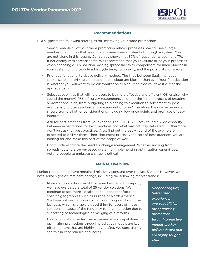

# **Recommendations**

<span id="page-4-0"></span>POI suggests the following strategies for improving your trade promotions:

- Seek to enable all of your trade promotion related processes. We still see a large number of activities that are done in spreadsheets instead of through a system. You are not alone in this regard. Our survey shows that 87% of respondents augment TPx functionality with spreadsheets. We recommend that you evaluate all of your processes when choosing a TPx solution. Adding spreadsheets to compensate for inadequacies in your system of choice only adds cycle time, complexity, and the possibility for errors.
- Prioritize functionality above delivery method. The lines between SaaS, managed services, hosted private cloud, and public cloud are blurrier than ever. Your first decision is whether you will want to do customization to a solution that will take it out of the upgrade path.
- Select capabilities that will help users to be more effective and efficient. Otherwise, why spend the money? 93% of survey respondents said that the "entire process of creating a promotional plan, from budgeting to planning to execution to settlement to post event analytics, takes a burdensome amount of time." Therefore, the user experience should trump all other considerations, including low price points and promises of easy integration.
- Ask for best practices from your vendor. The POI 2017 Survey found a wide disparity between expectations for best practices and what was actually delivered. Furthermore, don't just ask for best practices. Also, find out the background of those who are expected to deliver them. Then, document precisely the sort of best practices you are looking for and make this part of the scope of work.
- Don't underestimate the need for change management. Whether moving from spreadsheets to a server-based system or implementing optimization capabilities, getting people to embrace change is critical.

# **Market Overview**

Market requirements have remained relatively constant over the last 5 years. However, we note some signs of imminent change, including the following market trends:

- More solution options exist than ever before. In this report, we have evaluated a total of 25 vendor solutions. We continue to see more "localized" solutions that focus on specific geographies such as Europe or North America. We have not seen any consolidation among vendors in the last year, which is largely a good thing for users of these solutions because of the tendency to force adoption due to sunsetting of technologies or merging of platforms.
- Deeper analytics, better user experience, and capabilities for optimizing promotions through predictive models are key differentiators that are highly sought after. We consistently see this in case studies of success.

*Deeper analytics, better user experience, and capabilities for optimizing promotions through predictive models are key differentiators that are highly sought after.*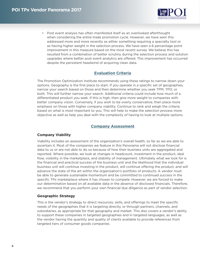

<span id="page-5-0"></span>• Post event analysis has often manifested itself as an overlooked afterthought when considering the entire trade promotion cycle. However, we have seen this addressed more and more recently as either something requiring a specialty tool or as having higher weight in the selection process. We have seen a 6 percentage point improvement in this measure based on the most recent survey. We believe this has resulted from a combination of better scrutiny during the selection process and solution upgrades where better post event analytics are offered. This improvement has occurred despite the persistent headwind of acquiring clean data.

# **Evaluation Criteria**

The Promotion Optimization Institute recommends using these ratings to narrow down your options. Geography is the first place to start. If you operate in a specific set of geographies, narrow your search based on those and then determine whether you seek TPM, TPO, or both. This will further narrow your search. Additional criteria could include how much of a differentiated product you seek. If this is high, then give more weight to companies with better company vision. Conversely, if you wish to be overly conservative, then place more emphasis on those with higher company viability. Continue to rank and weigh the criteria based on what is most important to you. This will help to make the selection process more objective as well as help you deal with the complexity of having to look at multiple options.

# **Company Assessment**

### **Company Viability**

Viability includes an assessment of the organization's overall health, so far as we are able to ascertain it. Most of the companies we feature in this Panorama will not disclose financial data to us or are not able to do so because of how their business units are aggregated and reported. Where possible, we look at changes in headcount, investment in the product, deal flow, visibility in the marketplace, and stability of management. Ultimately what we look for is the financial and practical success of the business unit and the likelihood that the individual business unit will continue investing in the product, will continue offering the product, and will advance the state of the art within the organization's portfolio of products. A vendor must be able to generate sustainable momentum and be committed to continued success in the specific TPx marketplace where it has chosen to compete. However, we are forced to make our determination based on all available data in the absence of disclosed financials. Therefore, we recommend that you perform your own financial due diligence as part of vendor selection.

#### **Geographic Strategy**

This is the vendor's strategy to direct resources, skills, and offerings to meet the specific needs of the geographies that it is targeting directly, or through partners, channels, and subsidiaries, as appropriate for that geography and market. This also covers a vendor's ability to support these companies in targeted geographies and in targeted languages, as well as the vendor having the quantity and quality of clients available to provide references from targeted tiers of consumer goods companies.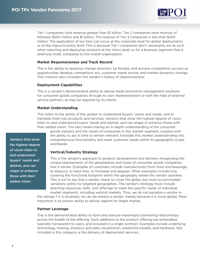

Tier 1 companies have revenue greater than \$1 billion. Tier 2 companies have revenue of between \$250 million and \$1 billion. The revenue of Tier 3 companies is less than \$250 million. The application of our tiers can occur at the corporate level for global deployments or at the region/country level. This is because Tier 1 companies don't necessarily act as such when selecting and deploying solutions at the micro-level, or for a business segment that is relatively small, compared to the overall organization.

### **Market Responsiveness and Track Record**

This is the ability to respond, change direction, be flexible, and achieve competitive success as opportunities develop, competitors act, customer needs evolve, and market dynamics change. This criterion also considers the vendor's history of responsiveness.

## **Deployment Capabilities**

This is a vendor's demonstrated ability to deliver trade promotion management solutions for consumer goods companies through its own implementation or with the help of external service partners, as may be required by its clients.

## **Market Understanding**

This refers to the ability of the vendor to understand buyers' wants and needs, and to translate them into products and services. Vendors that show the highest degree of vision listen to and understand buyers' needs and desires, and can shape or enhance those with their added vision. This also means having an in-depth understanding of the consumer

goods industry and the needs of companies in this market segment, coupled with the ability to act in time to remain relevant, translate this market understanding into comprehensive functionality, and meet customer needs within its geographic scope, worldwide.

# **Vertical/Industry Strategy**

This is the vendor's approach to product development and delivery, recognizing the unique requirements of the geographies and types of consumer goods companies that it serves. Examples of customers include manufacturers from food and beverage, to tobacco, to hard lines, to footwear and apparel. Other examples include fully covering the functional footprint within the geography where the vendor operates. This is not to say that a vendor needs to cover the globe, but must accommodate variations within its targeted geographies. The vendor's strategy must include directing resources, skills, and offerings to meet the specific needs of individual market segments, including vertical markets. Thus, we do not penalize a vendor in

the ratings if it is localized, nor do we reward a vendor merely because it is more global. Most important is its proven ability to deliver against its target market.

#### **Partner Leverage**

This is the demonstrated ability to form and execute meaningful partnering relationships across the breath of the offering. Such additions to the product offering are embedded, typically transparent to users, and included in a single contract. Examples include underlying technology, hosting, analytics and data visualization, predictive models, and hardware. Not included in this category is the delivery of deployment services.

*Vendors that show the highest degree of vision listen to and understand buyers' needs and desires, and can shape or enhance those with their added vision.*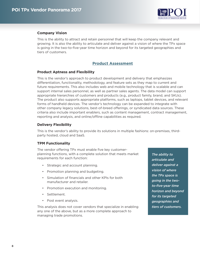

# <span id="page-7-0"></span>**Company Vision**

This is the ability to attract and retain personnel that will keep the company relevant and growing. It is also the ability to articulate and deliver against a vision of where the TPx space is going in the two-to-five-year time horizon and beyond for its targeted geographies and tiers of customers.

# **Product Assessment**

### **Product Aptness and Flexibility**

This is the vendor's approach to product development and delivery that emphasizes differentiation, functionality, methodology, and feature sets as they map to current and future requirements. This also includes web and mobile technology that is scalable and can support internal sales personnel, as well as partner sales agents. The data model can support appropriate hierarchies of customers and products (e.g., product family, brand, and SKUs). The product also supports appropriate platforms, such as laptops, tablet devices, and relevant forms of handheld devices. The vendor's technology can be expanded to integrate with other company legacy solutions, best-of-breed offerings, or syndicated data sources. These criteria also include important enablers, such as content management, contract management, reporting and analysis, and online/offline capabilities as required.

## **Delivery Flexibility**

This is the vendor's ability to provide its solutions in multiple fashions: on-premises, thirdparty hosted, cloud and SaaS.

### **TPM Functionality**

The vendor offering TPx must enable five key customerplanning functions, with a complete solution that meets market requirements for each function:

- Strategic and account planning.
- Promotion planning and budgeting.
- Simulation of financials and other KPIs for both manufacturer and retailer.
- Promotion execution and monitoring.
- Settlement.
- Post event analysis.

This analysis does not cover vendors that specialize in enabling any one of the above, but as a more complete approach to managing trade promotions.

*The ability to articulate and deliver against a vision of where the TPx space is going in the twoto-five-year time horizon and beyond for its targeted geographies and tiers of customers.*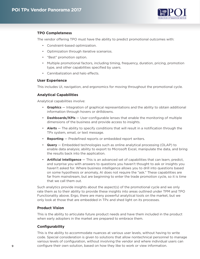

# **TPO Completeness**

The vendor offering TPO must have the ability to predict promotional outcomes with:

- Constraint-based optimization.
- Optimization through iterative scenarios.
- "Best" promotion option.
- Multiple promotional factors, including timing, frequency, duration, pricing, promotion type, and other capabilities specified by users.
- Cannibalization and halo effects.

### **User Experience**

This includes UI, navigation, and ergonomics for moving throughout the promotional cycle.

## **Analytical Capabilities**

Analytical capabilities involve:

- **Graphics** Integration of graphical representations and the ability to obtain additional information through hovers or drilldowns.
- **Dashboards/KPIs** User-configurable lenses that enable the monitoring of multiple dimensions of the business and provide access to insights.
- **Alerts** The ability to specify conditions that will result in a notification through the TPx system, email, or text message.
- **Reporting** Predefined reports or embedded report writers.
- **Query** Embedded technologies such as online analytical processing (OLAP) to enable data analysis; ability to export to Microsoft Excel, manipulate the data, and bring the results back into the application.
- **Artificial Intelligence** This is an advanced set of capabilities that can learn, predict, and surprise you with answers to questions you haven't thought to ask or insights you haven't asked for. Where business intelligence allows you to drill into questions based on some hypothesis or anomaly, AI does not require the "ask." These capabilities are far from mainstream, but are beginning to enter the trade promotion cycle, so it is time that we call them out.

Such analytics provide insights about the aspect(s) of the promotional cycle and we only rate them as to their ability to provide these insights into areas outlined under TPM and TPO Functionality above. Ergo, there are many powerful analytical tools on the market, but we only look at those that are embedded in TPx and shed light on its processes.

### **Product Vision**

This is the ability to articulate future product needs and have them included in the product when early adopters in the market are prepared to embrace them.

# **Configurability**

This is the ability to accommodate nuances at various user levels, without having to write code. Special consideration is given to solutions that allow nontechnical personnel to manage various levels of configuration, without involving the vendor and where individual users can configure their own solution, based on how they like to work or view information.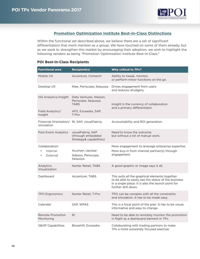

# **Promotion Optimization Institute Best-in-Class Distinctions**

<span id="page-9-0"></span>Within the functional set described above, we believe there are a set of significant differentiators that merit mention as a group. We have touched on some of them already, but as we work to strengthen this market by encouraging their adoption, we wish to highlight the following vendors as being "Promotion Optimization Institute Best-in-Class."

| <b>Functional area</b>                                     | <b>Recipient(s)</b>                                               | <b>Why critical to TPx?</b>                                                                                                                                                        |  |  |  |  |
|------------------------------------------------------------|-------------------------------------------------------------------|------------------------------------------------------------------------------------------------------------------------------------------------------------------------------------|--|--|--|--|
| Mobile UX                                                  | Accenture, Comarch                                                | Ability to tweak, monitor,<br>or perform minor functions on the go.                                                                                                                |  |  |  |  |
| Desktop UX                                                 | Klee, Periscope, Sequoya                                          | Drives engagement from users<br>and reduces drudgery.                                                                                                                              |  |  |  |  |
| HQ Analytics/Insight                                       | Data Ventures, Nielsen,<br>Periscope, Sequoya,<br><b>TABS</b>     | Insight is the currency of collaboration<br>and a primary differentiator.                                                                                                          |  |  |  |  |
| Field Analytics/<br>Insight                                | AFS, Exceedra, SAP,<br>T-Pro                                      |                                                                                                                                                                                    |  |  |  |  |
| Financial Orientation/ RI, SAP, visualFabriq<br>simulation |                                                                   | Accountability and ROI generation.                                                                                                                                                 |  |  |  |  |
| <b>Post Event Analytics</b>                                | visualFabrig, SAP<br>(through embedded<br>Strategy& capabilities) | Need to know the outcome<br>but without a lot of manual work.                                                                                                                      |  |  |  |  |
| Collaboration:<br>Internal<br>External                     | Acumen, Upclear<br>Adesso, Periscope,<br>Sequoya                  | More engagement to leverage enterprise expertise.<br>More buy-in from channel partner(s) through<br>engagement.                                                                    |  |  |  |  |
| Analytics<br>Visualization                                 | Kantar Retail, TABS                                               | A good graphic or image says it all.                                                                                                                                               |  |  |  |  |
| Dashboard                                                  | Accenture, TABS                                                   | This pulls all the graphical elements together<br>to be able to easily see the status of the business<br>in a single place. It is also the launch point for<br>further drill down. |  |  |  |  |
| <b>TPO Ergonomics</b>                                      | Kantar Retail, T-Pro                                              | TPO can be complex with all the constraints<br>and simulation. It has to be made easy.                                                                                             |  |  |  |  |
| Calendar                                                   | SAP, WPAS                                                         | This is a focal point of the plan. It has to be visual,<br>informative and easy to change.                                                                                         |  |  |  |  |
| Remote Promotion<br>Monitoring                             | R <sub>l</sub>                                                    | Need to be able to remotely monitor the promotion<br>in flight as a dashboard element in TPx.                                                                                      |  |  |  |  |
| <b>S&amp;OP Capabilities</b>                               | Blueshift, Exceedra                                               | Collaborating with trading partners to make<br>TPx a more outwardly focused exercise.                                                                                              |  |  |  |  |

### **POI Best-in-Class Recipients**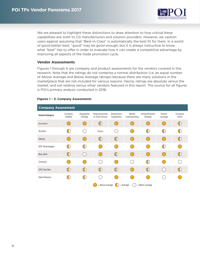

We are pleased to highlight these distinctions to draw attention to how critical these capabilities are; both to CG manufacturers and solution providers. However, we caution users against assuming that "Best-in-Class" is automatically the best fit for them. In a world of good-better-best, "good" may be good enough, but it is always instructive to know what "best" has to offer in order to evaluate how it can create a competitive advantage by improving all aspects of the trade promotion cycle.

### **Vendor Assessments**

Figures 1 through 6 are company and product assessments for the vendors covered in this research. Note that the ratings do not comprise a normal distribution (i.e. an equal number of Above Average and Below Average ratings) because there are many solutions in the marketplace that are not included for various reasons. Hence, ratings are absolute versus the market, and not relative versus other vendors featured in this report. The source for all figures is POI's primary analysis conducted in 2016.

#### **Figures 1 – 3: Company Assessments**

| <b>Company Assessment</b>                         |                                               |                        |                                             |                            |                         |                                   |                                               |                    |  |
|---------------------------------------------------|-----------------------------------------------|------------------------|---------------------------------------------|----------------------------|-------------------------|-----------------------------------|-----------------------------------------------|--------------------|--|
| <b>Vendor/Category</b>                            | Company<br>Viability                          | Geographic<br>Strategy | Responsiveness<br>& Track Record            | Deployment<br>Capabilities | Market<br>Understanding | Vertical/Industry<br>Strategy     | Partner<br>Leverage                           | Company<br>Vision  |  |
| Accenture                                         |                                               |                        | $\left(\begin{array}{c} \end{array}\right)$ |                            |                         | <sub>(</sub>                      | (                                             | $(\vert \ \rangle$ |  |
| Acumen                                            |                                               |                        | <b>New</b>                                  |                            |                         | $\left( \left  {}\right. \right)$ | $(\;   \; )$                                  |                    |  |
| Adesso                                            | n.                                            |                        | $(\vert \ \rangle$                          | $($   $)$                  | $\sqrt{2}$              | <sup>-</sup>                      | $\left( \begin{array}{c} \end{array} \right)$ | $(\vert \ \rangle$ |  |
| AFS Technologies                                  | H.                                            | $(\vert \ \rangle$     |                                             |                            |                         |                                   | $\left( \begin{array}{c} \end{array} \right)$ |                    |  |
| <b>Blue Shift</b>                                 | $\left( \begin{array}{c} \end{array} \right)$ |                        |                                             |                            | $\sqrt{2}$              | <sup>-</sup> (                    |                                               | $(\dagger)$        |  |
| Comarch                                           |                                               |                        |                                             |                            |                         | $\bigcirc$                        |                                               |                    |  |
| <b>CPG Tool Box</b>                               | $\left( \begin{array}{c} \end{array} \right)$ | $(\vert)$              | $\left(\left \right.\right)$                | $(\cdot)$                  | $\left($                | $\bigcirc$                        | $\left( \right)$                              | $(\dagger)$        |  |
| Data Ventures                                     |                                               | $\Box$                 |                                             |                            |                         |                                   |                                               |                    |  |
| = Above average<br>= Below average<br>$=$ Average |                                               |                        |                                             |                            |                         |                                   |                                               |                    |  |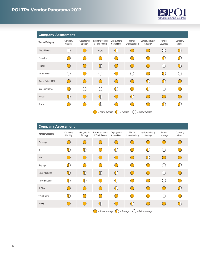

| <b>Company Assessment</b> |                      |                                               |                                  |                            |                         |                                 |                                               |                              |
|---------------------------|----------------------|-----------------------------------------------|----------------------------------|----------------------------|-------------------------|---------------------------------|-----------------------------------------------|------------------------------|
| <b>Vendor/Category</b>    | Company<br>Viability | Geographic<br>Strategy                        | Responsiveness<br>& Track Record | Deployment<br>Capabilities | Market<br>Understanding | Vertical/Industry<br>Strategy   | Partner<br>Leverage                           | Company<br>Vision            |
| <b>Effect Makers</b>      | n.                   |                                               | <b>New</b>                       | $(\   \ )$                 |                         |                                 | $\left( \begin{array}{c} \end{array} \right)$ | $\left(\left \right.\right)$ |
| Exceedra                  |                      |                                               |                                  |                            |                         |                                 | $(\;  $                                       |                              |
| Flintfox                  | 0                    | $\left( \begin{array}{c} \end{array} \right)$ | $\bigoplus$                      | $\left($                   | $(\ )$                  | $\bigcap$                       | $($ )                                         | $\bigcirc$                   |
| <b>ITC</b> Infotech       |                      |                                               |                                  |                            |                         |                                 | $(\   \ )$                                    |                              |
| Kantar Retail XTEL        | ( )                  |                                               |                                  | $(\Box)$                   | $(\ )$                  | $\bigoplus$                     | $\bigoplus$                                   | $(\ )$                       |
| <b>Klee Commerce</b>      |                      |                                               |                                  |                            |                         | $\left( \left  \right. \right)$ | $\mathcal{C}$                                 |                              |
| Nielsen                   | $(\vert)$            |                                               | $\bigoplus$                      |                            | $(\vert)$               | $\bigcap$                       | $\left( \begin{array}{c} \end{array} \right)$ | (                            |
| Oracle                    |                      |                                               | $(\Box)$                         |                            |                         |                                 |                                               |                              |
|                           |                      |                                               | = Above average                  |                            | $=$ Average             | $=$ Below average               |                                               |                              |

| <b>Company Assessment</b> |                      |                                               |                                  |                            |                              |                                               |                                               |                                               |
|---------------------------|----------------------|-----------------------------------------------|----------------------------------|----------------------------|------------------------------|-----------------------------------------------|-----------------------------------------------|-----------------------------------------------|
| <b>Vendor/Category</b>    | Company<br>Viability | Geographic<br>Strategy                        | Responsiveness<br>& Track Record | Deployment<br>Capabilities | Market<br>Understanding      | Vertical/Industry<br>Strategy                 | Partner<br>Leverage                           | Company<br>Vision                             |
| Periscope                 | (                    |                                               |                                  |                            |                              |                                               |                                               |                                               |
| R <sub>l</sub>            | Œ                    | $(\; \;)$                                     |                                  |                            |                              | $(\   \ )$                                    |                                               |                                               |
| SAP                       | $(\ )$               | $(\ )$                                        | (                                |                            | $(\ )$                       | $(\vert)$                                     | $\left( \begin{array}{c} \end{array} \right)$ | $\overline{(\ }$                              |
| Sequoya                   | $(\dagger)$          |                                               |                                  |                            |                              |                                               | f.                                            |                                               |
| <b>TABS Analytics</b>     | $(\vert \ )$         | $(\dagger)$                                   | $\left(\left \right.\right)$     | $(\Box)$                   |                              | <sub>(</sub>                                  | $\left($                                      | $\left( \begin{array}{c} \end{array} \right)$ |
| T-Pro Solutions           | $(\dagger)$          | $\left( \begin{array}{c} \end{array} \right)$ |                                  |                            |                              |                                               |                                               |                                               |
| UpClear                   | $(\quad)$            | e e                                           | $(\ )$                           |                            |                              | $\left($                                      | $\left($                                      | $\left(\left \right.\right)$                  |
| visualFabriq              | $(\   \ )$           |                                               |                                  |                            |                              |                                               | ŗ.                                            |                                               |
| <b>WPAS</b>               | 78                   | f a                                           | $\left(\left \right.\right)$     |                            | $\left(\left \right.\right)$ | $\left( \begin{array}{c} \end{array} \right)$ |                                               | $\Box$                                        |
|                           |                      |                                               | = Above average                  |                            | $=$ Average                  | = Below average                               |                                               |                                               |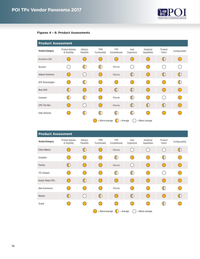

### **Figures 4 – 6: Product Assessments**

| <b>Product Assessment</b> |                                         |                                                 |                             |                                                   |                              |                            |                     |                 |  |  |  |  |  |  |
|---------------------------|-----------------------------------------|-------------------------------------------------|-----------------------------|---------------------------------------------------|------------------------------|----------------------------|---------------------|-----------------|--|--|--|--|--|--|
| <b>Vendor/Category</b>    | <b>Product Aptness</b><br>& Flexibility | Delivery<br>Flexibility                         | <b>TPM</b><br>Functionality | TP <sub>0</sub><br>Completeness                   | User<br>Experience           | Analytical<br>Capabilities | Product<br>Vision   | Configurability |  |  |  |  |  |  |
| <b>Accenture CAS</b>      |                                         |                                                 |                             |                                                   |                              |                            | $\big( \big  \big)$ |                 |  |  |  |  |  |  |
| Acumen                    |                                         | $(\; \;)$                                       | $\Box$                      | None                                              |                              |                            |                     |                 |  |  |  |  |  |  |
| <b>Adesso Solutions</b>   | $\left($                                |                                                 |                             | None                                              | $\big($  )                   | $(\ )$                     | $\bigcirc$          | $\bigoplus$     |  |  |  |  |  |  |
| AFS Technologies          |                                         | $(\vert \ \rangle$                              |                             |                                                   |                              |                            |                     |                 |  |  |  |  |  |  |
| <b>Blue Shift</b>         | $\left(\left \right.\right)$            | (                                               |                             | $\big($  )                                        | $\left(\left \right.\right)$ | $\bigcirc$                 | $\left($            | $\bigcirc$      |  |  |  |  |  |  |
| Comarch                   | $(\; \;)$                               | $(\vert \ \rangle$                              |                             | None                                              | $(\dagger)$                  | $\overline{(\ }$           |                     |                 |  |  |  |  |  |  |
| <b>CPG Tool Box</b>       |                                         | $\left( \begin{array}{c} 1 \end{array} \right)$ |                             | None                                              | $\big($  )                   | $\bigcirc$                 | $\bigcirc$          | $\bigcirc$      |  |  |  |  |  |  |
| Data Ventures             |                                         |                                                 |                             |                                                   | $(\   \ )$                   |                            |                     |                 |  |  |  |  |  |  |
|                           |                                         |                                                 |                             | = Above average<br>= Below average<br>$=$ Average |                              |                            |                     |                 |  |  |  |  |  |  |

| <b>Product Assessment</b> |                                         |                         |                             |                                 |                    |                            |                   |                 |  |
|---------------------------|-----------------------------------------|-------------------------|-----------------------------|---------------------------------|--------------------|----------------------------|-------------------|-----------------|--|
| <b>Vendor/Category</b>    | <b>Product Aptness</b><br>& Flexibility | Delivery<br>Flexibility | <b>TPM</b><br>Functionality | TP <sub>0</sub><br>Completeness | User<br>Experience | Analytical<br>Capabilities | Product<br>Vision | Configurability |  |
| <b>Effect Makers</b>      |                                         | $($  )                  |                             | None                            |                    |                            | $\mathcal{L}$     |                 |  |
| Exceedra                  |                                         |                         |                             | $\Box$                          |                    |                            | $(\vert)$         |                 |  |
| Flintfox                  | $(\; \;)$                               |                         |                             | None                            | $\left($           | $\left($                   | $\left($          | <sub>(</sub>    |  |
| <b>ITC</b> Infotech       |                                         |                         |                             | $\Box$                          | $(\dagger)$        |                            | (                 |                 |  |
| Kantar Retail XTEL        |                                         | $(\vert)$               |                             | $\left($                        | $\left($           | <sup>(</sup>               | $\left($          |                 |  |
| <b>Klee Commerce</b>      |                                         |                         |                             | None                            |                    |                            | $(\vert)$         |                 |  |
| Nielsen                   | $\Box$                                  |                         | $(\vert)$                   |                                 | $(\vert)$          | <sup>(</sup>               | $\left($          |                 |  |
| Oracle                    |                                         |                         |                             |                                 |                    |                            |                   |                 |  |
|                           |                                         |                         | = Above average             | $=$ Average<br>- 1              |                    | = Below average            |                   |                 |  |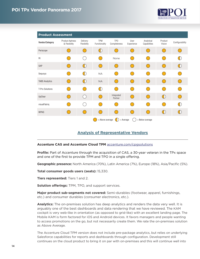

<span id="page-13-0"></span>

| <b>Product Assessment</b> |                                               |                              |                             |                                 |                                               |                                                             |                                               |                                               |
|---------------------------|-----------------------------------------------|------------------------------|-----------------------------|---------------------------------|-----------------------------------------------|-------------------------------------------------------------|-----------------------------------------------|-----------------------------------------------|
| <b>Vendor/Category</b>    | <b>Product Aptness</b><br>& Flexibility       | Delivery<br>Flexibility      | <b>TPM</b><br>Functionality | TP <sub>0</sub><br>Completeness | User<br>Experience                            | Analytical<br>Capabilities                                  | Product<br>Vision                             | Configurability                               |
| Periscope                 |                                               | n.                           | $(\dagger)$                 |                                 |                                               |                                                             | $\left( \begin{array}{c} \end{array} \right)$ | $\left( \begin{array}{c} \end{array} \right)$ |
| R <sub>l</sub>            |                                               | $\mathcal{L}^{\mathcal{A}}$  | <b>Service Service</b>      | None                            |                                               | $\begin{array}{c} \square \end{array}$                      | $\bullet$                                     |                                               |
| SAP                       | $\left($                                      | $\bigcirc$                   | $(\Box)$                    |                                 | $\left($                                      | $\bigcirc$                                                  | $(\ )$                                        | $\bigcirc$                                    |
| Sequoya                   |                                               | $\left(\left \right.\right)$ | <b>NA</b>                   |                                 |                                               | $\left( \begin{array}{c} \end{array} \right)$               | C.                                            |                                               |
| <b>TABS Analytics</b>     | $\left( \begin{array}{c} \end{array} \right)$ | $\bigcirc$                   | <b>NA</b>                   | $(\ )$                          | $\left( \begin{array}{c} \end{array} \right)$ | $\begin{pmatrix} 1 \\ 1 \end{pmatrix}$                      | $\left( \begin{array}{c} \end{array} \right)$ | (                                             |
| <b>T-Pro Solutions</b>    | ( <u>.</u>                                    | 0                            | $\bigcirc$                  |                                 |                                               | $\overline{(\ }$                                            | $\left( \quad \right)$                        |                                               |
| UpClear                   | $\overline{(\ }$                              | $($ )                        |                             | Integrated<br>Partner           |                                               | $\overline{(\ }$                                            | $\left(\left \right.\right)$                  | $(\ )$                                        |
| visualFabriq              |                                               |                              | a sa                        |                                 |                                               | $\overline{(\ }$                                            | M.                                            |                                               |
| <b>WPAS</b>               | $\left( \quad \right)$                        | $($ )                        |                             | $(\ )$                          | $\left( \begin{array}{c} \end{array} \right)$ | $\begin{array}{c} \begin{array}{c} \end{array} \end{array}$ | $\left(\left \right.\right)$                  | $\bigcirc$                                    |
|                           |                                               |                              | = Above average             | $=$ Average                     |                                               | = Below average                                             |                                               |                                               |

# **Analysis of Representative Vendors**

#### **Accenture CAS and Accenture Cloud TPM** [accenture.com/cpgsolutions](http://www.accenture.com/cpgsolutions)

**Profile:** Part of Accenture through the acquisition of CAS, a 30-year veteran in the TPx space and one of the first to provide TPM and TPO in a single offering.

**Geographic presence:** North America (70%), Latin America (7%), Europe (18%), Asia/Pacific (5%).

**Total consumer goods users (seats):** 15,330.

**Tiers represented:** Tiers 1 and 2.

**Solution offerings:** TPM, TPO, and support services.

**Major product sub-segments not covered:** Semi-durables (footwear, apparel, furnishings, etc.) and consumer durables (consumer electronics, etc.).

**Analytics:** The on-premises solution has deep analytics and renders the data very well. It is arguably one of the best dashboards and data rendering that we have reviewed. The KAM cockpit is very web-like in orientation (as opposed to grid-like) with an excellent landing page. The Mobile KAM is form factored for iOS and Android devices. It favors managers and people wanting to access promotions on the go, but not necessarily create them. We rate the on-premises solution as Above Average.

The Accenture Cloud TPM version does not include pre-package analytics, but relies on underlying Salesforce capabilities for reports and dashboards through configuration. Development still continues on the cloud product to bring it on par with on-premises and this will continue well into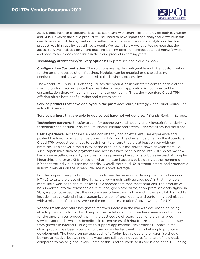

2018. It does have an exceptional business scorecard with smart tiles that provide both navigation and KPIs. However, the cloud product will still need to have reports and analytical views built out over time as part of deployment or thereafter. Therefore, what we saw of analytics in the cloud product was high quality, but still lacks depth. We rate it Below Average. We do note that the access to Wave analytics for AI and machine learning offer tremendous potential going forward and hope to see those capabilities in the cloud product in coming years.

**Technology architecture/delivery options:** On-premises and cloud as SaaS.

**Configuration/Customization:** The solutions are highly configurable and offer customization for the on-premises solution if desired. Modules can be enabled or disabled using configuration tools as well as adapted at the business process level.

The Accenture Cloud TPM offering utilizes the open APIs in Salesforce.com to enable clientspecific customizations. Since the core Salesforce.com application is not impacted by customization there will be no impediment to upgrading. Thus, the Accenture Cloud TPM offering offers both configuration and customization.

**Service partners that have deployed in the past:** Accenture, Strategy&, and Rural Source, Inc. in North America.

**Service partners that are able to deploy but have not yet done so:** 4Brands Reply in Europe.

**Technology partners:** Salesforce.com for technology and hosting and Microsoft for underlying technology and hosting. Also, the Fraunhofer Institute and several universities around the globe.

**User experience:** Accenture CAS has consistently had an excellent user experience and pushed the limits of what can be done in a TPx tool. The charter customer on the Accenture Cloud TPM product continues to push them to ensure that it is at least on par with onpremises. This shows in the quality of the product, but has slowed down development. As such, capabilities such as payments and accruals have been pushed into 2018. What we saw had some excellent usability features such as planning based on attributes instead of complex hierarchies and smart KPIs based on what the user happens to be doing at the moment or KPIs that the individual user can specify. Overall, the cloud UX is strong, smart, and ergonomic in how it renders on the screen. We rate it Above Average.

For the on-premises product, it continues to see the benefits of development efforts around HTML5 to take the place of Silverlight. It is very much "anti-spreadsheet" in that it renders more like a web-page and much less like a spreadsheet than most solutions. The product will be supported into the foreseeable future; and, given several major on-premises deals signed in 2017, we do not expect that the on-premises offering will fall behind in the least bit. Highlights include intuitive calendaring, ergonomic creation of promotions, and performing optimization with a minimum of screens. We rate the on-premises solution Above Average for UX.

**Vendor trend:** Accenture has gotten renewed interest in the marketplace based on being able to provide both cloud and on-premises solutions. In fact, we have seen more traction for the on-premises product than in the past couple of years. It still offers a managed services approach, which is beneficial in recent years of hiring freezes and movement away from growth in internal IT budgets to support applications. Nevertheless, uptake in the cloud product has been slow and focused on a charter client that is helping to prioritize development. The two-pronged approach of offering both cloud and on-premise should be very attractive, but we find that Accenture still does not get its fair share of new deals compared to major, global rivals. Some of this is attributable to its focus and price TCO being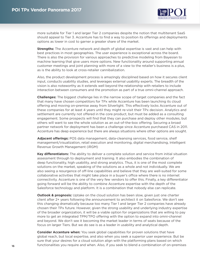

more suitable for Tier 1 and larger Tier 2 companies despite the notion that multitenant SaaS should appeal to Tier 3. Accenture has to find a way to position its offerings and deployments options as lower in cost to garner a greater share of the market.

**Strengths:** The Accenture network and depth of global expertise is vast and can help with best practices in most geographies. The user experience is exceptional across the board. There is also the provision for various approaches to predictive modeling from Bayesian to machine learning that give users more options. New functionality around supporting annual customer meetings and joint planning with more of a view to the retailer's business is a plus, as is the ability to look at cross-retailer cannibalization.

Also, the product development process is amazingly disciplined based on how it secures client input, conducts usability studies, and leverages external usability experts. The breadth of the vision is also noteworthy as it extends well beyond the relationship with retailers to include interaction between consumers and the promotion as part of a true omni-channel approach.

**Challenges:** The biggest challenge lies in the narrow scope of target companies and the fact that many have chosen competitors for TPx while Accenture has been launching its cloud offering and moving on-premise away from Silverlight. This effectively locks Accenture out of these companies for at least 4 years until they might re-visit their TPx decision. Analytics and settlement are currently not offered in the core product, but must be added as a consulting engagement. Some prospects will find that they can purchase and deploy other modules, but others will want to see the whole solution as an out-of-the-box offering. Securing a broad partner network for deployment has been a challenge since Accenture purchased CAS in 2011. Accenture has deep experience but there are always situations where other options are sought.

**Adjacent offerings:** POS data management, data-cleansing services, food service, shelf management/visualization, retail execution and monitoring, digital merchandising, Intelligent Revenue Growth Management (iRGM)

**Key differentiators:** The ability to deliver a complete solution and service from initial situation assessment through to deployment and training. It also embodies the combination of deep functionality, high usability, and strong analytics. Thus, it is one of the most complete solutions on the market, speaking of the solutions as a whole and not individually. We are also seeing a resurgence of off-line capabilities and believe that they are well-suited for some collaborative activities that might take place in a buyer's office where there is no internet connectivity. Accenture is one of the very few vendors to offer this. Finally, a key differentiator going forward will be the ability to combine Accenture expertise with the depth of the Salesforce technology and platform. It is a combination that nobody else can replicate.

**Outlook & prognosis:** Uptake on the cloud solution has been slow, given just one charter client after 2+ years following the announcement to architect it on Salesforce. We don't see this changing dramatically because too many Tier 1 and larger Tier 2 companies have already chosen their TPx future. However, given the strong usability and underlying industry expertise of the broader organization, it will be a viable option for organizations that are willing to pay more to get an integrated TPM/TPO offering with the option to expand into omni-channel and beyond. We don't see it becoming the market leader in terms of seats because of the focus on larger Tiers. But we do see is as a leader in usability and analytical depth.

**Consider Accenture when:** You seek global capabilities for proven solutions that have global reach, but local expertise, and also when you seek a superior user experience. But be sure that your desires for a cloud solution align with the platforming plans based on which functionalities you require and when. Also, if you seek to blend a combination of on-premises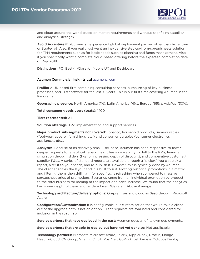

<span id="page-16-0"></span>and cloud around the world based on market requirements and without sacrificing usability and analytical strength.

**Avoid Accenture if:** You seek an experienced global deployment partner other than Accenture or Strategy&. Also, if you really just want an inexpensive step-up-from-spreadsheets solution for TPM requirements such as for basic needs such as planning and funds management. Also if you specifically want a complete cloud-based offering before the expected completion date of May, 2018.

**Distinctions:** POI Best-in-Class for Mobile UX and Dashboard.

### **Acumen Commercial Insights Ltd** [acumenci.com](http://www.acumenci.com)

**Profile:** A UK-based firm combining consulting services, outsourcing of key business processes, and TPx software for the last 10 years. This is our first time covering Acumen in the Panorama.

**Geographic presence:** North America (1%), Latin America (4%), Europe (65%), AsiaPac (30%).

**Total consumer goods users (seats):** 1,100.

**Tiers represented:** All.

**Solution offerings:** TPx, implementation and support services.

**Major product sub-segments not covered:** Tobacco, household products, Semi-durables (footwear, apparel, furnishings, etc.) and consumer durables (consumer electronics, appliances, etc.).

**Analytics:** Because of its relatively small user-base, Acumen has been responsive to fewer, deeper requests for analytical capabilities. It has a nice ability to drill to the KPIs, financial simulation through sliders (like for increasing depth of discount), and comparative customer/ supplier P&Ls. A series of standard reports are available through a "picker." You can pick a report, alter it to your needs, and re-publish it. However, this is typically done by Acumen. The client specifies the layout and it is built to suit. Plotting historical promotions in a matrix and filtering them, then drilling in for specifics, is refreshing when compared to massive spreadsheet grids of promotions. Scenarios range from an individual promotion by product to the total business for looking at the impact of a price increase. We found that the analytics had some insightful views and rendered well. We rate it Above Average.

**Technology architecture/delivery options:** On-premises and cloud as SaaS through Microsoft Azure

**Configuration/Customization:** It is configurable, but customization that would take a client out of the upgrade path is not an option. Client requests are evaluated and considered for inclusion in the roadmap.

**Service partners that have deployed in the past:** Acumen does all of its own deployments.

**Service partners that are able to deploy but have not yet done so:** Not applicable.

**Technology partners:** Microsoft, Microsoft Azure, Telerik, RippleRock, Nfocus, Mongo, HeadforCloud, CN Group, Vitamin C Ltd., PostMan, GuRock, JetBrains & Octopus Deploy.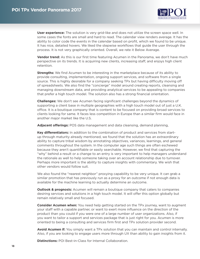

**User experience:** The solution is very grid-like and does not utilize the screen space well. In some cases the fonts are small and hard to read. The calendar view renders average. It has the ability to color code the events in the calendar based on profit, which we found to be unique. It has nice, detailed hovers. We liked the stepwise workflows that guide the user through the process. It is not very graphically oriented. Overall, we rate it Below Average.

**Vendor trend:** As this is our first time featuring Acumen in the Panorama, we don't have much perspective on its trends. It is acquiring new clients, increasing staff, and enjoys high client retention.

**Strengths:** We find Acumen to be interesting in the marketplace because of its ability to provide consulting, implementation, ongoing support services, and software from a single source. This is highly desirable for a company seeking TPx but having difficulty moving off of spreadsheets. We also find the "concierge" model around creating reports, cleansing and managing downstream data, and providing analytical services to be appealing to companies that prefer a high touch model. The solution also has a strong financial orientation.

**Challenges:** We don't see Acumen facing significant challenges beyond the dynamics of supporting a client base in multiple geographies with a high touch model out of just a U.K. office. It is a boutique company that is content to be focused on providing broad services to clients looking for same. It faces less competition in Europe than a similar firm would face in another major market like the U.S.

**Adjacent offerings:** POS data management and data cleansing, demand planning,

**Key differentiators:** In addition to the combination of product and services from startup through maturity already mentioned, we found that the solution has an extraordinary ability to capture tribal wisdom by annotating objectives, variances, learnings, and general comments throughout the system. In the computer age such things are often eschewed because they aren't quantifiable or easily searchable. However, we find that capturing the "why" behind a result or a change to an entry is very important to help managers understand the rationale as well to help someone taking over an account relationship due to turnover. Perhaps more important is the ability to capture insights with commentary. We wish that other vendors would follow suit.

We also found the "nearest neighbor" proxying capability to be very unique. It can grab a similar promotion that has previously run as a proxy for an outcome if not enough data is available for the machine learning to actually determine an outcome.

**Outlook & prognosis:** Acumen will remain a boutique company that caters to companies desiring services and solutions in a high touch model. It will offer this option globally but remain relatively small and focused.

**Consider Acumen when:** You need help getting started on the TPx journey, want to augment your staff with a capable partner, or want to exert more influence on the direction of the product than you could if you were one of a large number of user organizations. Also, if you want to tailor a support and services package that is just right for you. Acumen is more oriented to being a consulting and services firm first and TPx solution provider second.

**Avoid Acumen if:** You simply want a TPx solution that you can maintain and control internally. Also, if you are looking to engage users more through UX than ability to gain insights from it.

**Distinctions:** POI Best-in-Class for Internal Collaboration.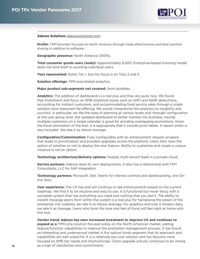

#### <span id="page-18-0"></span>**Adesso Solutions** [adessosolutions.com](http://www.adessosolutions.com)

**Profile:** TPM provider focused on North America through trade effectiveness and best practice sharing in addition to software.

**Geographic presence:** North America (100%).

**Total consumer goods users (seats):** Approximately 6,000. Enterprise-based licensing model does not lend itself to counting individual users.

**Tiers represented:** Some Tier 1, but the focus is on Tiers 2 and 3.

**Solution offerings:** TPM and related analytics.

**Major product sub-segments not covered:** Semi-durables.

**Analytics:** The addition of dashboards is a real plus and they are quite nice. We found that investment and focus on SMB analytical issues such as UNFI and KeHE deductions, accounting for indirect customers, and accommodating food service sales through a single solution have improved the offering. We would characterize the analytics as insightful and succinct. In particular, we like the ease of planning at various levels and, through configuration at the user group level, the updated dashboard to better monitor the business. Having multiple customers on a single calendar is good for avoiding overlapping promotions. Given the Excel orientation of the tool, it is appropriate that it include pivot tables. A report writer is also included. We rate it as Above Average.

**Configuration/Customization:** Fully configurable with an enhancement request program that leads to prioritization and possible upgrades across the platform. Users then have the option of whether or not to deploy the new feature. Ability to customize and create a unique instance is not an option.

**Technology architecture/delivery options:** Hosted, multi-tenant SaaS in a private cloud.

**Service partners:** Adesso does its own deployments. It also has a relationship with FMT Consultants, LLC for SAP integration.

**Technology partners:** Microsoft, Dell, Telerik for internal controls and dashboarding, and Online Tech.

**User experience:** The UX has and will continue to see enhancements based on the current roadmap. We find it to be intuitive and easy to use. It is functional but never fancy with a complete system that has everything you need and nothing that you don't. The ability to instant message peers from within the system is a real plus for harnessing the power of the enterprise. For usability, we rate it as Above Average. For graphics and how it renders data, we rate it as Average. Users who favor the look and feel of Excel will feel right at home with this tool.

**Vendor trend: Adesso has seen increased investment to improve UX and continues to** 

**expand as a** TPM-only solution focused solely on the North American market, adding feature/function capabilities to improve the promotion management process. It has found an interesting and underserved market in the natural foods segment that its approach and capabilities are well suited for. It is a relatively low cost solution and has become more focused on SMB tier needs and shortcomings. Client upgrade activity continues to be strong as a sign of satisfaction and commitment.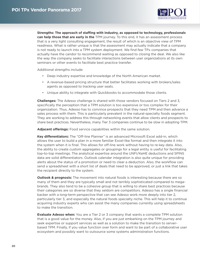

**Strengths: The approach of staffing with industry, as opposed to technology, professionals can help those that are early in the** TPM journey. To this end, it has an assessment process that is a very light consulting engagement, the result of which is an objective view of TPM readiness. What is rather unique is that the assessment may actually indicate that a company is not ready to launch into a TPM system deployment. We find few TPx companies that actually have the candor to recommend waiting as opposed to closing the deal. We also like the way the company seeks to facilitate interactions between user organizations at its own seminars or other events to facilitate best practice transfer.

Additional strengths include:

- Deep industry expertise and knowledge of the North American market.
- A revenue-based pricing structure that better facilitates working with brokers/sales agents as opposed to tracking user seats.
- Unique ability to integrate with Quickbooks to accommodate those clients.

**Challenges:** The Adesso challenge is shared with those vendors focused on Tiers 2 and 3, specifically the perception that a TPM solution is too expensive or too complex for their organization. Thus, Adesso has to convince prospects that they need TPM and then advance a sales process with them. This is particularly prevalent in the natural-specialty foods segment. They are working to address this through networking events that allow clients and prospects to share best practices. Nevertheless, many Tier 3 companies continue to be slow in adopting TPM.

**Adjacent offerings:** Food service capabilities within the same solution.

**Key differentiators:** The "Off-line Planner" is an advanced Microsoft Excel add-in, which allows the user to build a plan in a more familiar Excel-like format and then integrate it into the system when it is final. This allows for off-line work without having to re-key data. Also, the ability to create custom aggregates or groupings for a legal entity is useful for facilitating top-to-top meetings. The analytical expertise around the UNFI/KeHE deductions and SPINS data are solid differentiators. Outlook calendar integration is also quite unique for providing alerts about the status of a promotion or need to clear a deduction. Also, the workflow can send a spreadsheet with a short list of deals that need to be approved, or just a link that takes the recipient directly to the system.

**Outlook & prognosis:** The movement into natural foods is interesting because there are so many of them and they are typically small and not terribly sophisticated compared to megabrands. They also tend to be a cohesive group that is willing to share best practices because their categories are so diverse that they seldom are competitors. Adesso has a single financial backer with a long-term perspective that can see Adesso work more deeply into tier 2, particularly tier 3, and especially the natural foods specialty niche. This will help it to continue acquiring industry experts who can assist the many companies currently using spreadsheets to make the transition.

**Evaluate Adesso when:** You are a Tier 2 or 3 company that wants a complete TPM solution that is a good value for the money. Also, if you are just embarking on the TPM journey and seek expertise or support services as well as a solution to make the transition to serverbased TPM. Finally, if you value function over form and want to be part of a collaborative user ecosystem and possibly want to outsource some systems administration functions.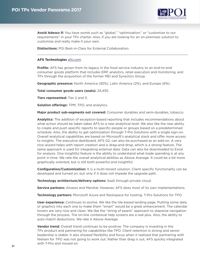

<span id="page-20-0"></span>**Avoid Adesso if:** You have words such as "global," "optimization," or "customize to our requirements" in your TPx charter. Also, if you are looking for an on-premises solution to customize and really make it your own.

**Distinctions:** POI Best-in-Class for External Collaboration.

#### **AFS Technologies** [afsi.com](http://www.afsi.com)

**Profile:** AFS has grown from its legacy in the food service industry to an end-to-end consumer goods platform that includes ERP, analytics, retail execution and monitoring, and TPx through the acquisition of the former MEI and Synectics Group.

**Geographic presence:** North America (92%), Latin America (2%), and Europe (6%).

**Total consumer goods users (seats):** 24,455.

**Tiers represented:** Tier 2 and 3.

**Solution offerings:** TPM, TPO, and analytics.

**Major product sub-segments not covered:** Consumer durables and semi-durables, tobacco.

**Analytics:** The addition of exception-based reporting that includes recommendations about what action should be taken takes AFS to a new analytical level. We also like the new ability to create and push specific reports to specific people or groups based on a predetermined schedule. Also, the ability to get optimization through T-Pro Solutions with a single sign-on. Overall analytical capabilities are based on Microsoft's analytical stack and offer more access to insights. The executive dashboard, AFS G2, can also be purchased as an add-on. A very nice wizard helps with report creation and is drag-and-drop, which is a strong feature. The same approach is used for integrating external data. Data can also be downloaded to Excel for analysis. One insightful feature is the ability to understand what trade spending is at any point in time. We rate the overall analytical abilities as Above Average. It could be a bit more graphically oriented, but is still both powerful and insightful.

**Configuration/Customization:** It is a multi-tenant solution. Client specific functionality can be developed and turned on, but only if it does not impede the upgrade path.

**Technology architecture/delivery options:** SaaS through private cloud.

**Service partners:** Alvarez and Marshal. However, AFS does most of its own implementations.

**Technology partners:** Microsoft Azure and Rackspace for hosting. T-Pro Solutions for TPO.

**User experience:** Continues to evolve. We like the tile-based landing page. Putting some data or graphics into each one to make them "smart" would be a great enhancement. The calendar hovers are very nice and clean. We like the "string of pearls" approach to stepwise navigation through the process. The on-line contextual help screens are a real plus. Also, the ability to auto-match deductions. We rate it Above Average.

**Vendor trend:** Overall trend continues to be positive. The company is investing in the TPx product and partnering for capabilities like TPO. Client retention is strong and senior leadership is stable. It also showed flexibility and focus when it realized that partnering with Nielsen for TPO was not going to work out. Rather than drag is out, AFS quickly integrated with T-Pro and moved on.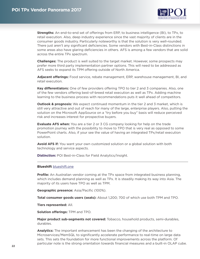

<span id="page-21-0"></span>**Strengths:** An end-to-end set of offerings from ERP, to business intelligence (BI), to TPx, to retail execution. Also, deep industry experience since the vast majority of clients are in the consumer goods industry. Particularly noteworthy is that the solution is very well-rounded. There just aren't any significant deficiencies. Some vendors with Best-in-Class distinctions in some areas also have glaring deficiencies in others. AFS is among a few vendors that are solid across the entire TPx spectrum.

**Challenges:** The product is well suited to the target market. However, some prospects may prefer more third party implementation partner options. This will need to be addressed as AFS seeks to expand its TPM offering outside of North America.

**Adjacent offerings:** Food service, rebate management, ERP, warehouse management, BI, and retail execution.

**Key differentiators:** One of few providers offering TPO to tier 2 and 3 companies. Also, one of the few vendors offering best-of-breed retail execution as well as TPx. Adding machine learning to the business process with recommendations puts it well ahead of competitors.

**Outlook & prognosis:** We expect continued momentum in the tier 2 and 3 market, which is still very attractive and out of reach for many of the large, enterprise players. Also, putting the solution on the Microsoft AppSource on a "try before you buy" basis will reduce perceived risk and increases interest for prospective buyers.

**Evaluate AFS when:** You are a tier 2 or 3 CG company looking for help on the trade promotion journey with the possibility to move to TPO that is very real as opposed to some PowerPoint charts. Also, if your see the value of having an integrated TPx/retail execution solution.

**Avoid AFS if:** You want your own customized solution or a global solution with both technology and service aspects.

**Distinction:** POI Best-in-Class for Field Analytics/Insight.

#### **Blueshift** blueshift.one

**Profile:** An Australian vendor coming at the TPx space from integrated business planning, which includes demand planning as well as TPx. It is steadily making its way into Asia. The majority of its users have TPO as well as TPM.

**Geographic presence:** Asia/Pacific (100%).

**Total consumer goods users (seats):** About 1,200; 700 of which use both TPM and TPO.

**Tiers represented:** All.

**Solution offerings:** TPM and TPO.

**Major product sub-segments not covered:** Tobacco, household products, semi-durables, durables.

**Analytics:** The important enhancement has been the changing of the architecture to Microservices/MemSQL to significantly accelerate performance to real-time on large data sets. This sets the foundation for more functional improvements across the platform. Of particular note is the strong orientation towards financial measures and a built-in OLAP cube.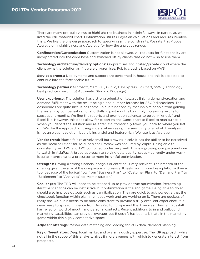

There are many pre-built views to highlight the business in insightful ways. In particular, we liked the P&L waterfall chart. Optimization utilizes Bayesian calculations and requires iterative trials. We like the one-page approach to specifying all the constraints. We rate it as Above Average on insightfulness and Average for how the analytics render.

**Configuration/Customization:** Customization is not allowed. All requests for functionality are incorporated into the code base and switched off by clients that do not wish to use them.

**Technology architecture/delivery options:** On-premises and hosted/private cloud where the client owns the solution as if it were on-premises. Public cloud is based on AWS.

**Service partners:** Deployments and support are performed in-house and this is expected to continue into the foreseeable future.

**Technology partners:** Microsoft, MemSQL, Gun.io, DevExpress, SciChart, SSW (Technology best practice consulting) Automatic Studio (UX design).

**User experience:** The solution has a strong orientation towards linking demand-creation and demand-fulfillment with the result being a one number forecast for S&OP discussions. The dashboards are quite nice. It has some unique functionality that inhibits people from gaming the system by compensating for shortfalls in past months by simply increasing results for subsequent months. We find the reports and promotion calendar to be very "griddy" and Excel-like. However, this does allow for exporting the Gantt chart to Excel to manipulate it. When you depart the solution and re-enter, it automatically takes you back to where you left off. We like the approach of using sliders when seeing the sensitivity of a 'what if' analysis. It is not an elegant solution, but it is insightful and feature-rich. We rate it as Average.

**Vendor trend:** Blueshift is relatively small but growing nicely. It has the ability to be perceived as the "local solution" for AsiaPac since Promax was acquired by Wipro. Being able to consistently sell TPM and TPO combined bodes very well. This is a growing company and one to watch in AsiaPac. A broad approach to solving data quality issues – currently under way – is quite interesting as a precursor to more insightful optimization.

**Strengths:** Having a strong financial analysis orientation is very relevant. The breadth of the offering given the size of the company is impressive. It feels much more like a platform than a tool because of the logical flow from "Business Plan" to "Customer Plan" to "Demand Plan" to "Settlement" to "Analytics" to "Administration."

**Challenges:** The TPO will need to be stepped up to provide true optimization. Performing iterative scenarios can be instructive, but optimization is the end game. Being able to do so should also improve outputs such as cannibalization. They are quick to acknowledge that the checkbook function within planning needs work and are working on it. There are pockets of really fine UX but it needs to be more consistent to provide a truly excellent experience. It is never easy to spread influence from AsiaPac to Europe and the Americas. Thus far, Blueshift has relied on word of mouth and personal contacts. Recent additions to in and outbound marketing capabilities can provide leverage, but Blueshift has been a bit late in the marketing game within this highly competitive space..

**Adjacent offerings:** Master data matching and loading for POS data, demand planning.

**Key differentiators:** Deep local market and overall industry expertise. The IBP approach, while not all in the scope of this analysis, gives it more avenues with which to generate interest from prospects.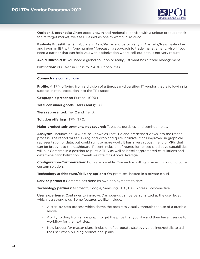

<span id="page-23-0"></span>**Outlook & prognosis:** Given good growth and regional expertise with a unique product stack for its target market, we see Blueshift as one to watch in AsiaPac.

**Evaluate Blueshift when:** You are in Asia/Pac — and particularly in Australia/New Zealand and favor an IBP with "one number" forecasting approach to trade management. Also, if you need a partner that can help you with optimization where sell-out data is not very robust.

**Avoid Blueshift if:** You need a global solution or really just want basic trade management.

**Distinction:** POI Best-in-Class for S&OP Capabilities.

#### **Comarch** [sfa.comarch.com](http://www.sfa.comarch.com)

**Profile:** A TPM offering from a division of a European-diversified IT vendor that is following its success in retail execution into the TPx space.

**Geographic presence:** Europe (100%).

**Total consumer goods users (seats):** 566.

**Tiers represented:** Tier 2 and Tier 3.

**Solution offerings:** TPM, TPO.

**Major product sub-segments not covered:** Tobacco, durables, and semi-durables.

**Analytics:** Includes an OLAP cube known as FastGrid and predefined views into the traded process. The report writer is drag-and-drop and quite intuitive. It has improved in graphical representation of data, but could still use more work. It has a very robust menu of KPIs that can be brought to the dashboard. Recent inclusion of regression-based predictive capabilities will put Comarch in a position to pursue TPO as well as baseline/promoted calculations and determine cannibalization. Overall we rate it as Above Average.

**Configuration/Customization:** Both are possible. Comarch is willing to assist in building out a custom solution.

**Technology architecture/delivery options:** On-premises, hosted in a private cloud.

**Service partners:** Comarch has done its own deployments to date.

**Technology partners:** Microsoft, Google, Samsung, HTC, DevExpress, SoInteractive.

**User experience:** Continues to improve. Dashboards can be personalized at the user level, which is a strong plus. Some features we like include:

- A step-by-step process which shows the progress visually through the use of a graphic above.
- Ability to drag from a line graph to get the price that you like and then have it segue to workflow for the next step.
- New layouts for master plans, inclusion of corporate strategy guidelines/details to aid the user when building promotional plans.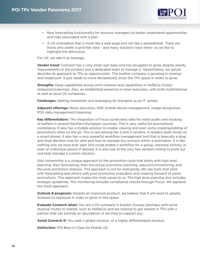

- New forecasting functionality for account managers to better understand opportunities and risks associated with a plan.
- A UX orientation that is more like a web page and not like a spreadsheet. There are those who prefer a grid-like view - and many solutions have them- so we like to highlight the distinction.

For UX, we rate it as Average.

**Vendor trend:** Comarch has a very small user base and has struggled to grow despite steady improvements in the product and a dedicated team to manage it. Nevertheless, we would describe its approach to TPx as opportunistic. The mother company is growing in revenue and headcount. It just needs to more declaratively enter the TPx space in order to grow.

**Strengths:** Deep capabilities across omni-channel and capabilities in HoReCa (hotel/ restaurant/catering). Also, an established presence in retail execution, with both multinational as well as local CG companies.

**Challenges:** Getting mindshare and leveraging its strengths as an IT vendor.

**Adjacent offerings:** Retail execution, ERP, mobile device management, image recognition, POS data management/cleansing.

**Key differentiators:** The integration of Focus syndicated data for retail audits and tracking of leaflets in several Northern-European countries. This is very useful for promotional compliance. It also has a mobile solution to enable viewing and even some creating/editing of promotions while on the go. This is rare among tier 2 and 3 vendors. It renders quite nicely on a smart phone. It also has a very powerful workflow management tool that is basically a drag and drop decision tree for who and how to manage any process within a promotion. It is like nothing else we have ever seen and could enable a workflow for a group, seasonal activity, or even an individual person if desired. It is also one of the very few vendors willing to build out and help manage a custom solution.

Also noteworthy is a unique approach to the promotion cycle that starts with high level planning, then forecasting, then the actual promotion planning, execution/monitoring, and the post promotion analysis. This approach is not for everybody. We see tools that start with forecasting and others with post promotion evaluation and copying forward of some promotions. This approach makes the most sense to us. The high level planning also includes strategic guidelines. The monitoring includes compliance checks through Focus. We applaud this fresh approach.

**Outlook & prognosis:** Despite an improved product, we believe that it will need to greatly increase its exposure in order to grow in this space.

**Evaluate Comarch when:** You are a CG company in Eastern Europe (perhaps with some atypical routes to market, such as HoReCa) and are looking to get started in TPx with a partner that can provide an abundance of services to support you.

**Avoid Comarch if:** You seek a global solution, or a highly differentiated product.

**Distinction:** POI Best-in-Class for Mobile UX.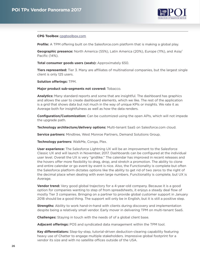

#### <span id="page-25-0"></span>**CPG Toolbox** [cpgtoolbox.com](http://www.cpgtoolbox.com)

**Profile:** A TPM offering built on the Salesforce.com platform that is making a global play.

**Geographic presence:** North America (55%), Latin America (20%), Europe (11%), and Asia/ Pacific (14%).

**Total consumer goods users (seats):** Approximately 650.

**Tiers represented:** Tier 3. Many are affiliates of multinational companies, but the largest single client is only 125 users.

**Solution offerings:** TPM.

**Major product sub-segments not covered:** Tobacco.

**Analytics:** Many standard reports and some that are insightful. The dashboard has graphics and allows the user to create dashboard elements, which we like. The rest of the application is a grid that shows data but not much in the way of unique KPIs or insights. We rate it as Average both for insightfulness as well as how the data renders.

**Configuration/Customization:** Can be customized using the open APIs, which will not impede the upgrade path.

**Technology architecture/delivery options:** Multi-tenant SaaS on Salesforce.com cloud.

**Service partners:** Mindtree, West Monroe Partners, Demand Solutions Group.

**Technology partners:** WalkMe, Conga, Plex.

**User experience:** The Salesforce Lightning UX will be an improvement to the Salesforce Classic UX and will launch in November, 2017. Dashboards can be configured at the individual user level. Overall the UX is very "gridlike." The calendar has improved in recent releases and the hovers offer more flexibility to drag, drop, and stretch a promotion. The ability to clone and entire calendar or go event by event is nice. Also, the Functionality is complete but often the Salesforce platform dictates options like the ability to get rid of two zeros to the right of the decimal place when dealing with even large numbers. Functionality is complete, but UX is Average.

**Vendor trend:** Very good global trajectory for a 4-year-old company. Because it is a good option for companies wanting to step of from spreadsheets, it enjoys a steady deal flow of mostly Tier 3 companies. Bringing on a partner to provide global customer support in January 2018 should be a good thing. The support will only be in English, but it is still a positive step.

**Strengths:** Ability to work hand-in-hand with clients during discovery and implementation despite being a relatively small vendor. Early mover in delivering TPM on multi-tenant SaaS.

**Challenges:** Staying in touch with the needs of of a global client base.

**Adjacent offerings:** POS and syndicated data management within the TPM tool.

**Key differentiators:** Step-by-step, tutorial-driven deduction-clearing capability featuring heavy use of Chatter to engage multiple stakeholders. Impressive global footprint for a vendor its size and with no satellite offices outside of the USA.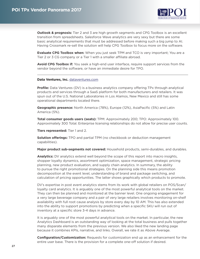

<span id="page-26-0"></span>**Outlook & prognosis:** Tier 2 and 3 are high growth segments and CPG Toolbox is an excellent transition from spreadsheets. Salesforce Wave analytics are very sexy but there are some basic analytical requirements that must be addressed before making such a big jump to AI. Having Crossmark re-sell the solution will help CPG Toolbox to focus more on the software.

**Evaluate CPG Toolbox when:** When you just seek TPM and TCO is very important; You are a Tier 2 or 3 CG company or a Tier 1 with a smaller affiliate abroad.

**Avoid CPG Toolbox if:** You seek a high-end user interface, require support services from the vendor beyond the software, or have an immediate desire for TPO.

#### **Data Ventures, Inc.** [dataventures.com](http://www.dataventures.com)

**Profile:** Data Ventures (DV) is a business analytics company offering TPx through analytical products and services through a SaaS platform for both manufacturers and retailers. It was spun out of the U.S. National Laboratories in Los Alamos, New Mexico and still has some operational departments located there.

**Geographic presence:** North America (78%), Europe (12%), AsiaPacific (5%) and Latin America (5%).

**Total consumer goods users (seats):** TPM: Approximately 200; TPO: Approximately 100. Approximately 300 Total. Enterprise licensing relationships do not allow for precise user counts.

**Tiers represented:** Tier 1 and 2.

**Solution offerings:** TPO and partial TPM (no checkbook or deduction management capabilities).

**Major product sub-segments not covered:** Household products, semi-durables, and durables.

**Analytics:** DV analytics extend well beyond the scope of this report into macro insights, shopper loyalty dynamics, assortment optimization, space management, strategic pricing planning, new product evaluation, and supply chain analytics. In summary, the ability to pursue the right promotional strategies. On the planning side this means promotion decomposition at the event level, understanding of brand and package switching, and calculation of pricing opportunities. The latter shows graphically which products to promote.

DV's expertise in post event analytics stems from its work with global retailers on POS/Scan/ loyalty card analytics. It is arguably one of the most powerful analytical tools on the market. They can then be planned and monitored at the banner level. One ongoing engagement for a very large beverage company and a pair of very large retailers involves monitoring on-shelf availability with full root cause analysis by store every day by 10 AM. This has also extended into the ability to support promotions by predicting when a specific SKU will run out of inventory at a specific store 3-4 days in advance.

It is arguably one of the most powerful analytical tools on the market. In particular, the new Analytics Dashboard is an outstanding way of looking at the total business and pulls together many disparate elements from the previous version. We also liked the new landing page because it combines KPIs, narrative, and links. Overall, we rate it as Above Average.

**Configuration/Customization:** Requests for customization end up as an enhancement for the entire user base. There is the provision for a complete one-off solution if desired.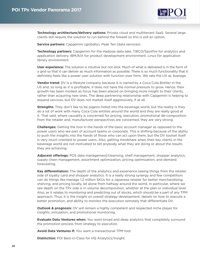

**Technology architecture/delivery options:** Private cloud and multitenant SaaS. Several large clients still require the solution to run behind the firewall so this is still an option.

**Service partners:** Capgemini (globally), Peak Ten (data services).

**Technology partners:** Capgemini for the Hadoop data lake. TIBCO/Spotfire for analytics and application delivery. IBM/AIX for product development environment. Linux for application library environment.

**User experience:** The solution is intuitive but not slick. Much of what is delivered is in the form of a grid so that it can deliver as much information as possible. There is so much functionality that it definitely feels like a power user solution with function over form. We rate the UX as Average.

**Vendor trend:** DV is a lifestyle company because it is owned by a Coca Cola Bottler in the US and, so long as it is profitable, it does not have the normal pressure to grow. Hence, their growth has been modest as focus has been placed on bringing more insight to their clients, rather than acquiring new ones. The deep partnering relationship with Capgemini is helping to expand services, but DV does not market itself aggressively, if at all.

**Strengths:** They don't like to be pigeon-holed into the beverage world, but the reality is they do a lot of work with many Coca Cola entities around the world and they are really good at it. That said, where causality is concerned for pricing, execution, promotional de-composition from the retailer and, manufacturer perspectives are concerned, they are very strong.

**Challenges:** Getting the tool in the hands of the basic account manager as opposed to the power users who are part of account teams or corporate. This is shifting because of the ability to push the insights into the hands of those who can act upon them, but the DV toolset itself is very much oriented to power users. Also, getting mindshare when their key clients in the beverage world are not motivated to tell anybody what they are doing or about the results they are achieving.

**Adjacent offerings:** POS data management/cleansing, shelf management, shopper analytics, supply chain management, assortment optimization, pricing optimization, and demand forecasting.

**Key differentiators:** The depth of the analytics and experience seeing things from the retailer side of loyalty card and shopper analytics. It is a really strong synergy and few competitors can do things like manage 1.2 million SKUs for a Japanese retailer for better merchandising, shelving, and pricing locally, let alone from halfway around the world. In particular, where we see depth on the TPx side is in volume decomposition, whether at the plan or individual level. Also, as it relates to monitoring and predicting out of stocks, which should be a part of any TPM approach. Thus, it is the insight on overall strategy development, details on how to execute a better promotion, and ability to monitor the execution remotely that differentiate DV.

**Outlook & prognosis:** DV will remain a highly competent and respected niche player for insights, simulation, and promotional monitoring.

**Evaluate Data Ventures when:** You want broad and deep analytics that completely surround the promotion process from strategy to execution.

**Avoid Data Ventures if:** You want a transactional TPM tool.

**Distinction: POI Best-in-Class for HQ Analytics/Insight.**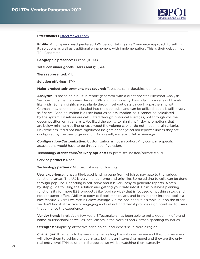

#### <span id="page-28-0"></span>**Effectmakers** [effectmakers.com](http://www.effectmakers.com)

**Profile:** A European headquartered TPM vendor taking an eCommerce approach to selling its solutions as well as traditional engagement with implementation. This is their debut in our TPx Panorama.

**Geographic presence:** Europe (100%).

**Total consumer goods users (seats):** 1,144.

**Tiers represented:** All.

**Solution offerings:** TPM.

**Major product sub-segments not covered:** Tobacco, semi-durables, durables.

**Analytics:** Is based on a built-in report generator with a client-specific Microsoft Analysis Services cube that captures desired KPIs and functionality. Basically, it is a series of Excellike grids. Some insights are available through sell-out data through a partnership with Catman, Inc., as the data is loaded into the data cube and can be utilized, but it is still largely self-serve. Cannibalization is a user input as an assumption, as it cannot be calculated by the system. Baselines are calculated through historical averages, not through volume decomposition or lift analysis. We liked the ability to highlight "risky" promotions that are below minimum selling price, exceed the volume cap, or do not meet margin criteria. Nevertheless, it did not have significant insights or analytical horsepower unless they are configured by the user organization. As a result, we rate it Below Average.

**Configuration/Customization:** Customization is not an option. Any company-specific adaptations would have to be through configuration.

**Technology architecture/delivery options:** On-premises, hosted/private cloud.

**Service partners:** None.

**Technology partners:** Microsoft Azure for hosting.

**User experience:** It has a tile-based landing page from which to navigate to the various functional areas. The UX is very monochrome and grid-like. Some editing to cells can be done through pop-ups. Reporting is self-serve and it is very easy to generate reports. A stepby-step guide to using the solution and getting your data into it. Basic business planning functionality for more B2B products (like food service) that is focused on pushing stock and not consumer offers. Ability to copy to Excel, manipulate, and bring it back into the tool is a nice feature. Overall we rate it Below Average. On the one hand it is simple, but on the other we don't find it attractive or engaging and did not find that it provides significant aid to users that enhance the experience.

**Vendor trend:** In relatively few years Effectmakers has been able to get a good mix of brand name, multinational as well as local clients in the Nordics and German speaking countries.

**Strengths:** Simplicity, attractive price point, local expertise in Nordic region.

**Challenges:** It remains to be seen whether selling the solution on-line and through re-sellers will allow them to achieve critical mass, but it is an interesting model and they are the only real entry level TPM solution in Europe so we will be watching them carefully.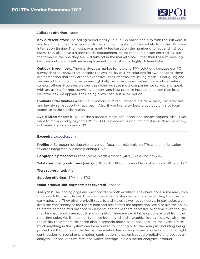

#### <span id="page-29-0"></span>**Adjacent offerings:** None

**Key differentiators:** The selling model is truly unique: Go online and play with the software. If you like it, then download your customer and item master with some help from their Business Integration Engine. Then just pay a monthly fee based on the number of direct and indirect users. They also have a higher touch, engagement-based model for larger enterprises, but the former is the one they feel will take off in the marketplace. Other than the low price, trybefore-you-buy, and self-serve deployment model, it is not highly differentiated.

**Outlook & prognosis:** There is always a market for low-end TPM solutions because our POI survey data still shows that, despite the availability of TPM solutions for two decades, there is a perception that they are too expensive. The Effectmakers selling model is intriguing and we predict that it can garner interest globally because it does not require any local sales or support offices. However, we see it as niche because most companies we survey and speak with are asking for more services, support, and best practice inculcation rather than less. Nevertheless, we applaud their being a low cost, self-serve option.

**Evaluate Effectmakers when:** Your primary TPM requirements are for a basic, cost effective, and largely self-supporting approach. Also, if you like to try before you buy or value local expertise in the Nordic region.

**Avoid Effectmakers if:** You desire a broader range of support and service options. Also, if you want to move quickly beyond TPM to TPO or place value on functionalities such as workflow, rich analytics, or a superior UX.

#### **Exceedra** [exceedra.com](http://www.exceedra.com)

**Profile:** A European headquartered vendor focused exclusively on TPx with an orientation towards integrated business planning (IBP).

**Geographic presence:** Europe (58%), North America (40%), Asia/Pacific (2%).

**Total consumer goods users (seats):** 3,300 with 1,800 of those utilizing it for both TPO and TPM.

**Tiers represented:** All.

**Solution offerings:** TPM and TPO.

#### **Major product sub-segments not covered:** Tobacco.

**Analytics:** The landing page and dashboard are both excellent. They have done some really nice things with Microsoft Power BI since it became the standard and are benefitting from being early adopters. They offer pre-built reports and views as well as self-serve. In particular, we liked the consistency of the report look and feel across the application. We also like the ability to create personalized dashboard elements and make them pervasive over time even though the standard reports are robust and insightful. There are pivot table options as well from the reporting cube. We like the ability to see both a grid and a graphic side-by-side. We also like the ability to compare the entire plan in scenario mode, as opposed to just the event. Pretty much anything in the system can be exported for sharing or further analysis, including being pushed out through a mobile device. The solution has a strong financial orientation to highlight contribution vs. spend or promotion contribution. It has embedded predictive and post event analysis. For analytics we rate it as Above Average. It is a superior analytical product.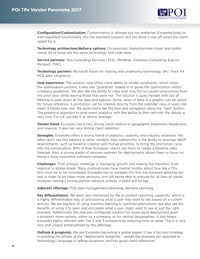

**Configuration/Customization:** Customization is allowed but not preferred. Exceedra looks to add requested functionality into the standard solution, but has done a one-off when the client opted for it.

**Technology architecture/delivery options:** On-premises, hosted/private cloud, and public cloud. All of these are the same technology and code base.

**Service partners:** Tata Consulting Services (TCS), Mindtree, Clarkston Consulting, Eye-on, Genpact, PWC.

**Technology partners:** Microsoft Azure for hosting and underlying technology. SKU Track for POS data integration.

**User experience:** The solution now offers more ability to model constraints, which helps the optimization process. It also has "guardrails" baked in to guide the optimization within company guidelines. We also like the ability to copy over only the successful promotions from the prior year, while leaving those that were not. The solution is quite flexible with lots of filtering to pare down all the data and options. Some views of data or a graphic can be saved for future reference. A promotion can be created directly from the calendar view or users can insert a totally new one. We particularly like the flow and navigation using the "next" button. The graphical approach to post event analytics with the ability to then drill into the details is very nice. For UX, we rate it as Above Average.

**Vendor trend:** Exceedra has a very strong trend relative to geographic expansion, headcount, and revenue. It also has very strong client retention.

**Strengths:** Exceedra offers a strong blend of analytics, usability, and industry expertise. We often don't see this balance in other vendors. Also noteworthy is the ability to leverage S&OP requirements, such as baseline creation and mutual priorities, to bring the promotion cycle into the conversation. 90% of their European clients use them to create a baseline sales forecast. Also, a strong stable of services partners for deployments allows them to focus on being a more innovative software company.

**Challenges:** Their primary challenge is managing growth and making the transition from regional to global player. Many multinationals have mental hurdles about how big a TPx firm most be to be considered. Exceedra has to navigate this fine line between growing too fast in order to be taken more seriously, and still being able to execute for all tiers of clients. However, having a strong partner network already in place will be key.

**Adjacent offerings:** POS data management/cleansing, demand planning.

**Key differentiators:** We were very impressed by the in-context reporting capability, which is a highly differentiated way of anticipating what a user may want to see based on a current activity. We are big fans of using machine learning to optimize promotions, but also see the benefits of using it to learn and anticipate what a user might want to see at just the right moment. Additionally, the new pre-configured solution for more rapid deployment gives a prospect more options, either as a company, or for various geographies. It also keeps Exceedra highly relevant with Tier 2 and 3 prospects by reducing time to value. This is a very nice and unique enhancement to the offerings.

**Outlook & prognosis:** We see Exceedra becoming a global player. It has a focused strategy, is avoiding the pitfalls of the "deployment quagmire," speaks the business (as opposed to technology) language in selling situations, and has good client references.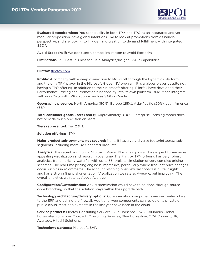

<span id="page-31-0"></span>**Evaluate Exceedra when:** You seek quality in both TPM and TPO as an integrated and yet modular proposition, have global intentions, like to look at promotions from a financial perspective, and are looking to link demand creation to demand fulfillment with integrated S&OP.

**Avoid Exceedra if:** We don't see a compelling reason to avoid Exceedra.

**Distinctions:** POI Best-in-Class for Field Analytics/Insight, S&OP Capabilities.

### **Flintfox** [flintfox.com](http://www.flintfox.com)

**Profile:** A company with a deep connection to Microsoft through the Dynamics platform and the only TPM player in the Microsoft Global ISV program. It is a global player despite not having a TPO offering. In addition to their Microsoft offering, Flintfox have developed their Performance, Pricing and Promotion functionality into its own platform, RMx. It can integrate with non-Mircosoft ERP solutions such as SAP or Oracle.

**Geographic presence:** North America (50%), Europe (25%), Asia/Pacific (20%), Latin America (5%).

**Total consumer goods users (seats):** Approximately 9,000. Enterprise licensing model does not provide much precision on seats.

**Tiers represented:** Tier 2 & 3.

**Solution offerings:** TPM.

**Major product sub-segments not covered:** None. It has a very diverse footprint across subsegments, including more B2B-oriented products.

**Analytics:** The recent addition of Microsoft Power BI is a real plus and we expect to see more appealing visualization and reporting over time. The Flintfox TPM offering has very robust analytics, from a pricing waterfall with up to 35 levels to simulation of very complex pricing schemes. The real-time pricing engine is impressive, particularly where frequent price changes occur such as in eCommerce. The account planning overview dashboard is quite insightful and has a strong financial orientation. Visualization we rate as Average, but improving. The overall analytics we rate as Above Average.

**Configuration/Customization:** Any customization would have to be done through source code branching so that the solution stays within the upgrade path.

**Technology architecture/delivery options:** Core execution components are well suited close to the ERP and behind the firewall. Additional web components can reside on a private or public cloud. Most deployments in the last year have been in the cloud.

**Service partners:** Flintfox Consulting Services, Blue Horsehoe, PwC, Columbus Global, Edgewater Fullscope, Microsoft Consulting Services, Blue Horseshoe, MCA Connect, HP, Avanade, Hitachi Solutions.

**Technology partners:** Microsoft, SAP.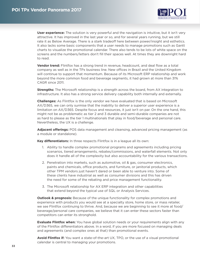

**User experience:** The solution is very powerful and the navigation is intuitive, but it isn't very attractive. It has improved in the last year or so, and for several years running, but we still rate it as Below Average. There is a stark tradeoff here between power/insight and esthetics. It also lacks some basic components that a user needs to manage promotions such as Gantt charts to visualize the promotional calendar. There also tends to be lots of white space on the screens and the numbers/letters don't fill their spaces well. At times they are downright hard to read.

**Vendor trend:** Flintfox has a strong trend in revenue, headcount, and deal flow as a total company as well as in the TPx business line. New offices in Brazil and the United Kingdom will continue to support that momentum. Because of its Microsoft ERP relationship and work beyond the more common food and beverage segments, it had grown at more than 31% CAGR since 2011.

**Strengths:** The Microsoft relationship is a strength across the board, from AX integration to infrastructure. It also has a strong service delivery capability both internally and externally.

**Challenges:** As Flintfox is the only vendor we have evaluated that is based on Microsoft AX/D365, we can only surmise that the inability to deliver a superior user experience is a limitation on AX/D365. Despite focus and resources, it just isn't on par. On the one hand, this might not be as problematic as tier 2 and 3 durable and semi-durable companies are not as hard to please as the tier 1 multinationals that play in food/beverage and personal care. Nevertheless, the UX is a challenge.

**Adjacent offerings:** POS data management and cleansing, advanced pricing management (as a module or standalone).

**Key differentiators:** In three respects Flintfox is in a league all its own:

- 1. Ability to handle complex promotional programs and agreements including pricing scenarios, tiered arrangements, rebates/commissions, and waterfall elements. Not only does it handle all of the complexity but also accountability for the various transactions.
- 2. Penetration into markets, such as automotive, oil & gas, consumer electronics, paints and chemicals, office products, and furniture, or janitorial products, which other TPM vendors just haven't dared or been able to venture into. Some of these clients have industrial as well as consumer divisions and this has driven the need for some of the rebating and price management functionality.
- 3. The Microsoft relationship for AX ERP integration and other capabilities that extend beyond the typical use of SQL or Analysis Services.

**Outlook & prognosis:** Because of the unique functionality for complex promotions and experience with products you would see at a specialty store, home store, or mass retailer, we see Flintfox continuing to thrive. And, because we are beginning to see it more at food/ beverage/personal care companies, we believe that it can enter these sectors faster than competitors can enter its stronghold.

**Evaluate Flintfox when:** You have global solution needs or your requirements align with any of the Flintfox differentiators above. In a word, if you are more focused on managing deals and agreements (and complex ones at that) than promotional events.

**Avoid Flintfox if:** You want a state-of-the-art UX, TPO, or the use of a visual promotional calendar is central to managing your promotions.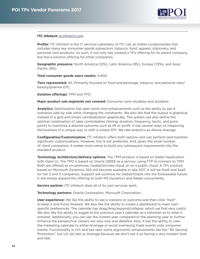

### <span id="page-33-0"></span>**ITC Infotech** [itcinfotech.com](http://www.itcinfotech.com)

**Profile:** ITC Infotech is the IT services subsidiary of ITC Ltd, an Indian conglomerate that includes many key consumer goods subsectors: tobacco, food, apparel, stationery, and personal care products. As such, it not only has created a TPx offering for its parent company, but has a solution offering for other companies.

**Geographic presence:** North America (12%), Latin America (8%), Europe (72%), and Asia/ Pacific (8%).

**Total consumer goods users (seats):** 4,900.

**Tiers represented:** All. Primarily focused on food and beverage, tobacco, and personal care/ beauty/pharma OTC.

**Solution offerings:** TPM and TPO.

**Major product sub-segments not covered:** Consumer semi-durables and durables.

**Analytics:** Optimization has seen some nice enhancements such as the ability to see 4 scenarios side by side while changing the constraints. We also like that the output is graphical instead of a grid and shows cannibalization graphically. The system can also define the optimal combination of sales controllables (timing, duration, frequency, tactic, and price point) to maximize a desired outcome such as lift or profit. It has several ways of measuring the business in a unique way or with a unique KPI. We rate analytics as Above Average.

**Configuration/Customization:** ITC Infotech offers both options and can perform and maintain significant customizations. However, this is not preferred. And, given the small number of client companies, it makes more sense to build any subsequent requirements into the standard product.

**Technology architecture/delivery options:** The TPM product is based on Siebel Application with Open UI. The TPO is based on Oracle OBIEE as a service, using FTP to connect to TPM. Both are offered as on-premises, hosted/private cloud, or on a public cloud. A TPx solution based on Microsoft Dynamics 365 will become available in late 2017. It will be PaaS and SaaS for tier 2 and 3 companies. Support will continue for Siebel/Oracle into the foreseeable future. It will simply expand the offering to both MS Dynamics and Siebel concurrently.

**Service partner:** ITC Infotech does all of its own services work.

**Technology partners:** Oracle Corporation, Microsoft Corporation.

**User experience:** We like the ability to see a scenario or outcome and then click "next" to keep it and move forward. We also like the ability to create a dashboard to meet userspecific preferences. The calendar has drag/drop/expand/collapse, which we find very useful. We also like the ability to toggle to the previous year's calendar as a refresher as to what it entailed. Additionally, you can see the current year compared to the planning year to further enhance the perspective. Hovers are very nice and detailed. Also, it has the ability to view the marketing calendar to either leverage or avoid overlaying trade events onto consumer events. Functionality is rich and has seen some ergonomic enhancements like the "90 Second Promotion," but UX we rate as Average because we don't see it as having a very modern look and feel.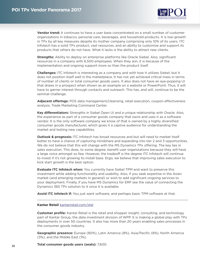

<span id="page-34-0"></span>**Vendor trend:** It continues to have a user base concentrated on a small number of customer organizations in tobacco, personal care, beverages, and household products. It is low-growth in TPx by all key measures despite its mother company comprising only 10% of its users. ITC Infotech has a solid TPx product, vast resources, and an ability to customize and support its products that others do not have. What it lacks is the ability to attract new clients.

**Strengths:** Ability to deploy on enterprise platforms like Oracle Siebel. Also, significant resources in a company with 6,500 employees. When they win, it is because of the implementation and ongoing support more so than the product itself.

**Challenges:** ITC Infotech is interesting as a company and with how it utilizes Siebel, but it does not position itself well in the marketplace. It has not yet achieved critical mass in terms of number of clients or total consumer goods users. It also does not have an eye-popping UI that draws in a prospect when shown as an example on a website or PowerPoint. Thus, it will have to garner interest through contacts and outreach. This has, and will, continue to be the seminal challenge.

**Adjacent offerings:** POS data management/cleansing, retail execution, coupon effectiveness analysis, Trade Marketing Command Center.

**Key differentiators:** Strengths in Siebel Open UI and a unique relationship with Oracle. Also, the experience as part of a consumer goods company that owns and uses it as a software vendor. It is the only software company we know of that is owned by a highly diversified consumer goods manufacturer, which gives it a captive audience for understanding the market and testing new capabilities.

**Outlook & prognosis:** ITC Infotech has broad resources and but will need to market itself better to have a chance of capturing mindshare and expanding into tier 2 and 3 opportunities. We do not believe that this will change with the MS Dynamics TPx offering. The key lies in sales execution. This does, to some degree, benefit user organizations because they will have a large voice amongst so few. However, the tradeoff is the degree ITC Infotech will continue to invest if it's not growing its install base. Ergo, we believe that improving sales execution to kick start growth is the best option.

**Evaluate ITC Infotech when:** You currently have Siebel TPM and want to preserve this investment while adding functionality and usability. Also, if you seek expertise in the Asian market (and emerging markets in general) or wish to add significant ongoing services to your deployment. Finally, if you have MS Dynamics for ERP see the value of connecting the Dynamics 365 TPx solution to it once it is available.

**Avoid ITC Infotech if:** You just want software, and perhaps basic TPM software at that.

#### **Kantar Retail** [kantarretail.com/xtel](http://www.kantarretail.com/xtel)

**Customer profile:** Kantar Retail is the retail and shopper insight, consulting, and technology part of Kantar Group, the data investment division of WPP. It is making a global play with TPx deployments in over 50 countries. It also has more than 20 years enabling sales processes in the consumer goods industry.

**Geographic presence:** Europe (80%), Latin America (8%), Asia/Pacific (8%), North America (3%), and the Middle East (1%).

**Total consumer goods users (seats):** 7,600.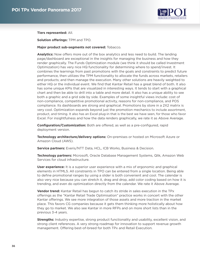

**Tiers represented:** All.

**Solution offerings:** TPM and TPO.

**Major product sub-segments not covered:** Tobacco.

**Analytics:** Now offers more out of the box analytics and less need to build. The landing page/dashboard are exceptional in the insights for managing the business and how they render graphically. The Funds Optimization module (we think it should be called Investment Optimization) has very nice HQ functionality for determining where to spend/invest. It combines the learnings from past promotions with the goals and constraints to predict future performance, then utilizes the TPM functionality to allocate the funds across markets, retailers and products; and then manage the execution. Many other solutions are heavily weighted to either HQ or the individual event. We find that Kantar Retail has a great blend of both. It also has some unique KPIs that are visualized in interesting ways. It tends to start with a graphical chart and then be able to drill into a table and more detail. It also has a unique ability to see both a graphic and a grid side by side. Examples of some insightful views include: cost of non-compliance, competitive promotional activity, reasons for non-compliance, and POS compliance. Its dashboards are strong and graphical. Promotions by store in a 2X2 matrix is very cool. Optimization expands beyond just the promotion mechanics to include assortment, product, and timing. It also has an Excel plug-in that is the best we have seen, for those who favor Excel. For insightfulness and how the data renders graphically, we rate it as Above Average.

**Configuration/Customization:** Both are offered, as well as a pre-configured, rapid deployment version.

**Technology architecture/delivery options:** On-premises or hosted on Microsoft Azure or Amazon Cloud (AWS).

**Service partners:** Everis/NTT Data, HCL, ICB Works, Business & Decision.

**Technology partners:** Microsoft, Oracle Database Management Systems, Qlik, Amazon Web Services for cloud infrastructure.

**User experience:** It is a superior user experience with a mix of ergonomic and graphical elements in HTML5. All constraints in TPO can be entered from a single location. Being able to define promotional ranges by using a slider is both convenient and cool. The calendar is also very nice because you can stretch it, drag and drop, add color coding based on how it is trending, and even do optimization directly from the calendar. We rate it Above Average.

**Vendor trend:** Kantar Retail has begun to catch its stride in sales execution in the TPx offerings as the "Kantar Retail Trade Optimisation" practice works in concert with the other Kantar offerings. We see more integration of those assets and more traction in the market place. This favors CG companies because it gets them thinking more holistically about how they go to market. We also see Kantar in more RFPs and on more short lists than in the previous 3-4 years.

**Strengths:** Industry expertise, strong product functionality and usability, excellent vision, and strong client references. A very strong roadmap for innovation to support revenue growth management. Offering best-of-breed for both TPx and Retail Execution.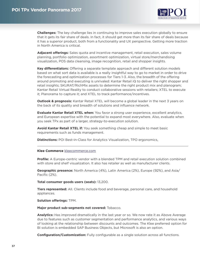

<span id="page-36-0"></span>**Challenges:** The key challenge lies in continuing to improve sales execution globally to ensure that it gets its fair share of deals. In fact, it should get more than its fair share of deals because it has a superior product, both from a functionality and UX perspective. Getting more traction in North America is critical.

**Adjacent offerings:** Sales quota and incentive management, retail execution, sales volume planning, portfolio optimization, assortment optimization, virtual store/merchandising visualization, POS data cleansing, image recognition, retail and shopper insights.

**Key differentiators:** Offering a separate template approach and different solution models based on what sort data is available is a really insightful way to go to market in order to drive the forecasting and optimization processes for Tiers 1-3. Also, the breadth of the offering around promoting and executing is unrivaled: Kantar Retail iQ to deliver the right shopper and retail insights; SKURAT/RichMix assets to determine the right product mix and planogram; Kantar Retail Virtual Reality to conduct collaborative sessions with retailers; XTEL to execute it; Planorama to capture it; and XTEL to track performance/incentives.

**Outlook & prognosis:** Kantar Retail XTEL will become a global leader in the next 3 years on the back of its quality and breadth of solutions and influence network.

**Evaluate Kantar Retail XTEL when:** You favor a strong user experience, excellent analytics, and European expertise with the potential to expand most everywhere. Also, evaluate when you seek TPx as part of a larger, strategy-to-execution solution.

**Avoid Kantar Retail XTEL if:** You seek something cheap and simple to meet basic requirements such as funds management.

**Distinctions:** POI Best-in-Class for Analytics Visualization, TPO ergonomics,

#### **Klee Commerce** [kleecommerce.com](http://www.kleecommerce.com)

**Profile:** A Europe-centric vendor with a blended TPM and retail execution solution combined with store and shelf visualization. It also has retailer as well as manufacturer clients.

**Geographic presence:** North America (4%), Latin America (2%), Europe (92%), and Asia/ Pacific (2%).

**Total consumer goods users (seats):** 13,200.

**Tiers represented:** All. Clients include food and beverage, personal care, and household appliances.

#### **Solution offerings:** TPM.

**Major product sub-segments not covered:** Tobacco.

**Analytics:** Has improved dramatically in the last year or so. We now rate it as Above Average due to features such as customer segmentation and performance analytics, and various ways of looking at the relationship between discounts and outcomes. The Klee preferred option for BI solution is embedded SAP Business Objects, but Microsoft is also an option.

**Configuration/Customization:** Fully configurable as a single solution across all functions.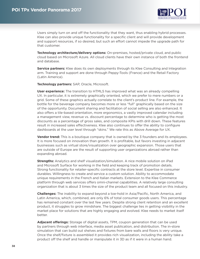

Users simply turn on and off the functionality that they want, thus enabling hybrid processes. Klee can also provide unique functionality for a specific client and will provide development and support resources, if so desired, but such an effort cannot impede the upgrade path for that customer.

**Technology architecture/delivery options:** On-premises, hosted/private cloud, and public cloud based on Microsoft Azure. All cloud clients have their own instance of both the frontend and database.

**Service partners:** Klee does its own deployments through its Klee Consulting and Integration arm. Training and support are done through Peppy-Tools (France) and the Retail Factory (Latin America).

**Technology partners:** SAP, Oracle, Microsoft.

**User experience:** The transition to HTML5 has improved what was an already compelling UX. In particular, it is extremely graphically oriented, which we prefer to mere numbers or a grid. Some of these graphics actually correlate to the client's product line. For example, the bottle for the beverage company becomes more or less "full" graphically based on the size of the opportunity. Document sharing and facilitation of social selling are also enhanced. It also offers a tile-based orientation, more ergonomics, a vastly improved calendar including a management view, revenue vs. discount percentage to determine who is getting the most discounts as a percentage of gross sales, and composite KPIs with drill down. These features result in increased sales effectiveness. Klee also continues to offer the ability to configure dashboards at the user level through "skins." We rate this as Above Average for UX.

**Vendor trend:** This is a boutique company that is owned by the 3 founders and its employees. It is more focused on innovation than growth. It is profitable, but favors investing in adjacent businesses such as virtual store/visualization over geographic expansion. Those users that are outside of Europe are the result of supporting user organizations abroad rather than expanding abroad.

**Strengths:** Analytics and shelf visualization/simulation. A nice mobile solution on iPad and Microsoft Surface for working in the field and keeping track of promotion details. Strong functionality for retailer-specific contracts at the store level. Expertise in consumer durables. Willingness to create and service a custom solution. Ability to accommodate unique requirements in the French and Italian markets. Extension to the Klee Commerce platform through web services offers omni-channel capabilities. A relatively large consulting organization that is about 3 times the size of the product team and all focused on this industry.

**Challenges:** The inability to expand beyond a toe-hold in Asia/Pacific, North America, and Latin America, which, combined, are only 6% of total consumer goods users. This percentage has remained constant over the last few years. Despite strong client retention and an excellent product, it struggles to grow mindshare. The biggest challenge lies in getting visibility in the market place for solutions that are highly engaging and evolved. Klee needs to market itself better.

**Adjacent offerings:** Storage of digital assets, TPM, coupon generation that can be used by partners through web interface, media asset publication, and distribution. The in-store simulation that can build out shelves and fixtures from bare walls and floors is very unique. Once the shelf/fixture is assembled it provides rich visualization, including the ability take a product off the shelf and handle or manipulate it in 3D as if it were in a human hand.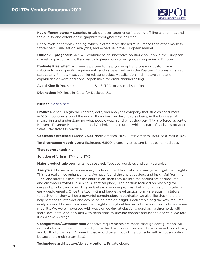

<span id="page-38-0"></span>**Key differentiators:** A superior, break-out user experience including off-line capabilities and the quality and extent of the graphics throughout the solution.

Deep levels of complex pricing, which is often more the norm in France than other markets. Store-shelf visualization, analytics, and expertise in the European market.

**Outlook & prognosis:** Klee will continue as an innovative boutique solution in the European market. In particular it will appeal to high-end consumer goods companies in Europe.

**Evaluate Klee when:** You seek a partner to help you adapt and possibly customize a solution to your specific requirements and value expertise in the Western European market, particularly France. Also, you like robust product visualization and in-store simulation capabilities or want additional capabilities for omni-channel selling.

**Avoid Klee if:** You seek multitenant SaaS, TPO, or a global solution.

**Distinction:** POI Best-in-Class for Desktop UX.

#### **Nielsen** [nielsen.com](http://www.nielsen.com)

**Profile:** Nielsen is a global research, data, and analytics company that studies consumers in 100+ countries around the world. It can best be described as being in the business of measuring and understanding what people watch and what they buy. TPx is offered as part of Nielsen's Revenue Management and Optimization solution, which is part of Nielsen's broader Sales Effectiveness practice.

**Geographic presence:** Europe (35%), North America (40%), Latin America (15%), Asia Pacific (10%).

**Total consumer goods users:** Estimated 6,500. Licensing structure is not by named user.

**Tiers represented:** All.

**Solution offerings:** TPM and TPO.

**Major product sub-segments not covered:** Tobacco, durables and semi-durables.

**Analytics:** Nielsen now has an analytics launch pad from which to navigate to get the insights. This is a really nice enhancement. We have found the analytics deep and insightful from the "HQ" and strategic level for the entire plan, then they go into the particulars of products and customers (what Nielsen calls "tactical plan"). The portion focused on planning for cases of product and spending budgets is a work in progress but is coming along nicely in early deployments. Once the two (HQ and budget level tactical plan) are equal in stature to each other they will be a powerful combination. In particular, we also like that there are help screens to interpret and advise on an area of insight. Each step along the way requires analytics and Nielsen combines the insights, analytical frameworks, simulation tools, and even mobility. We were impressed with ways of looking at elasticity, purchasing thresholds with store level data, and pop-ups with definitions to provide context around the analysis. We rate it as Above Average.

**Configuration/Customization:** Adaptive requirements are made through configuration. All requests for additional functionality for either the front- or back-end are assessed, prioritized, and built into the plan. A one-off that would take it out of the upgrade path is not an option because it is multitenant SaaS.

**Technology architecture/delivery options:** Private cloud.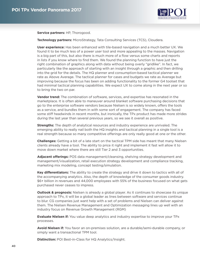

**Service partners:** HP, Thorogood.

**Technology partners:** MicroStrategy, Tata Consulting Services (TCS), Cloudera.

**User experience:** Has been enhanced with tile-based navigation and a much better UX. We found it to be much less of a power user tool and more appealing to the masses. Navigation is a big part of this, but also there is much more of a flow versus some charts and reports in lists if you know where to find them. We found the planning function to have just the right combination of graphics along with data without being overly "gridlike". In fact, we particularly like the approach of starting with an insight through a graphic and then drilling into the grid for the details. The HQ planner and consumption-based tactical planner we rate as Above Average. The tactical planner for cases and budgets we rate as Average but improving because the focus has been on adding functionality to the former G4 toolset that had minimal tactical planning capabilities. We expect UX to come along in the next year or so to bring the two on par.

**Vendor trend:** The combination of software, services, and expertise has resonated in the marketplace. It is often able to maneuver around blanket software purchasing decisions that go to the enterprise software vendors because Nielsen is so widely known, offers the tools as a service, and bundles them in with some sort of engagement. The company has faced some stiff headwinds in recent months, but ironically, the TPx product has made more strides during the last year than several previous years, so we see it overall as positive.

**Strengths:** The depth of analytical resources and industry experience are unrivaled. The emerging ability to really nail both the HQ insights and tactical planning in a single tool is a real strength because so many competitive offerings are only really good at one or the other.

**Challenges:** Getting a bit of a late start on the tactical TPM side has meant that many Nielsen clients already have a tool. The ability to price it right and implement it fast will allow it to move down market where there are still Tier 2 and 3 opportunities.

**Adjacent offerings:** POS data management/cleansing, shelving strategy development and management/visualization, retail execution strategy development and compliance tracking, marketing mix modeling, concept testing/simulation.

**Key differentiators:** The ability to create the strategy and drive it down to tactics with all of the accompanying analytics. Also, the depth of knowledge of the consumer goods industry. \$6+ billion in revenues and 44,000 employees with 55% of the business focused on what gets purchased never ceases to impress.

**Outlook & prognosis:** Nielsen is already a global player. As it continues to showcase its unique approach to TPx, it will be a global leader as lines between software and services continue to blur. CG companies just want help with a set of problems and Nielsen can deliver against them. The Nielsen Revenue Management and Optimization messaging lines up well with an industry focus on Revenue Growth Management (RGM)

**Evaluate Nielsen if:** You value deep analytics and industry expertise to improve your TPx processes.

**Avoid Nielsen if:** You favor an on-premises solution, are a durable/semi-durable company, or simply want a transactional TPM tool.

**Distinction:** POI Best-in-Class for HQ Analytics/Insight.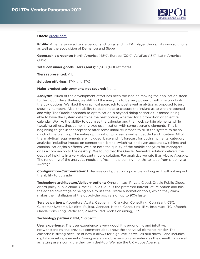

#### <span id="page-40-0"></span>**Oracle** [oracle.com](http://www.oracle.com)

**Profile:** An enterprise software vendor and longstanding TPx player through its own solutions as well as the acquisition of Demantra and Siebel.

**Geographic presence:** North America (45%), Europe (30%), AsiaPac (15%), Latin America  $(10\%)$ .

**Total consumer goods users (seats):** 9,500 (POI estimate).

**Tiers represented:** All.

**Solution offerings:** TPM and TPO.

#### **Major product sub-segments not covered:** None.

**Analytics:** Much of the development effort has been focused on moving the application stack to the cloud. Nevertheless, we still find the analytics to be very powerful with many out-ofthe box options. We liked the graphical approach to post event analytics as opposed to just showing numbers. Also, the ability to add a note to capture the insight as to what happened and why. The Oracle approach to optimization is beyond doing scenarios. It means being able to have the system determine the best option, whether for a promotion or an entire calendar. We like the ability to optimize the calendar and then lock certain elements while tweaking others, thus combining true optimization with some scenario elements. This is beginning to get user acceptance after some initial reluctance to trust the system to do so much of the planning. The entire optimization process is well embedded and intuitive. All of the analytical requirements are included: base and lift forecast for both shipments; category analytics including impact on competition, brand switching, and even account switching; and cannibalization/halo effects. We also note the quality of the mobile analytics for managers or as a companion to the desktop. We found that the Oracle Demantra solution delivers the depth of insights in a very pleasant mobile solution. For analytics we rate it as Above Average. The rendering of the analytics needs a refresh in the coming months to keep from slipping to Average.

**Configuration/Customization:** Extensive configuration is possible so long as it will not impact the ability to upgrade.

**Technology architecture/delivery options:** On-premises, Private Cloud, Oracle Public Cloud, or 3rd party public cloud. Oracle Public Cloud is the preferred infrastructure option and has the added advantage of being able to use the Oracle automation tools, which they claim makes the installation of the out-of-the box version up to 90% faster.

**Service partners:** Accenture, Avata, Capgemini, Clarkston Consulting, Cognizant, CSC, Customer Systems, Deloitte, Fujitsu, Genpact, Hitachi Consulting, IBM, Inspirage, ITC Infotech, Oracle Consulting, Perficient, Praesto, Red Rock Consulting, TCS.

**Technology partners:** IBM, Microsoft.

**User experience:** The user experience is very good. It is ergonomic and intuitive, notwithstanding the previous comment about how the analytical elements render. The calendar is strong because of how it allows for high level as well as drill down – and includes digital marketing elements. Giving users a mobile version also enhances the overall UX as well as letting users configure their own desktop. We rate the UX Above Average.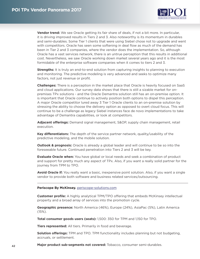

<span id="page-41-0"></span>**Vendor trend:** We see Oracle getting its fair share of deals, if not a bit more. In particular, it is driving improved results in Tiers 2 and 3. Also noteworthy is its momentum in durables and semi-durables. Some Tier 1 clients that were using Siebel chose not to upgrade and went with competitors. Oracle has seen some softening in deal flow as much of the demand has been in Tier 2 and 3 companies, where the vendor does the implementation. So, although Oracle has a vast services network, there is an untrue perception that this results in additional cost. Nevertheless, we saw Oracle working down market several years ago and it is the most formidable of the enterprise software companies when it comes to tiers 2 and 3.

**Strengths:** It is truly an end-to-end solution from capturing insights to planning to execution and monitoring. The predictive modeling is very advanced and seeks to optimize many factors, not just revenue or profit.

**Challenges:** There is a perception in the market place that Oracle is heavily focused on SaaS and cloud applications. Our survey data shows that there is still a sizable market for onpremises TPx solutions - and the Oracle Demantra solution still has an on-premise option. It is important that Oracle continue to actively position both options to dispel this perception. A major Oracle competitor lured away 3 Tier 1 Oracle clients to an on-premise solution by stressing the ability to choose the delivery option as opposed to overt cloud focus. This will continue to be a challenge as legacy Siebel instances face de novo implementations to take advantage of Demantra capabilities, or look at competitors.

**Adjacent offerings:** Demand signal management, S&OP, supply chain management, retail execution.

**Key differentiators:** The depth of the service partner network, quality/usability of the predictive modeling, and the mobile solution.

**Outlook & prognosis:** Oracle is already a global leader and will continue to be so into the foreseeable future. Continued penetration into Tiers 2 and 3 will be key.

**Evaluate Oracle when:** You have global or local needs and seek a combination of product and support for pretty much any aspect of TPx. Also, if you want a really solid partner for the journey from TPM to TPO.

**Avoid Oracle if:** You really want a basic, inexpensive point solution. Also, if you want a single vendor to provide both software and business related services/outsourcing.

#### **Periscope By McKinsey.** [periscope-solutions.com](http://www.periscope-solutions.com)

**Customer profile:** A highly analytical TPM/TPO offering that embeds McKinsey intellectual property and a broad array of services into the promotion cycle.

**Geographic presence:** North America (46%), Europe (24%), AsiaPac (5%), Latin America (15%).

**Total consumer goods users (seats):** 1,500: 350 for TPM and 1,150 for TPO.

**Tiers represented:** All tiers. Primarily in food and beverage.

**Solution offerings:** TPM and TPO. TPM functionality includes planning but not budgeting, accruals, or settlement.

**Major product sub-segments not covered:** Tobacco, consumer semi-durables.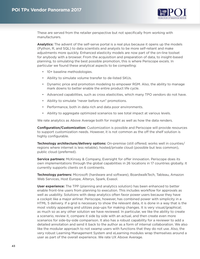

These are served from the retailer perspective but not specifically from working with manufacturers.

**Analytics:** The advent of the self-serve portal is a real plus because it opens up the models (Python, R, and SQL) to data scientists and analysts to be more self-reliant and make adjustments more quickly. Enhanced elasticity models are now part of the on-line toolset for anybody with a browser. From the acquisition and preparation of data, to insight-based planning, to simulating the best possible promotion, this is where Periscope excels. In particular we found these analytical aspects to be compelling:

- 10+ baseline methodologies.
- Ability to simulate volume transfer to de-listed SKUs.
- Dynamic price and promotion modeling to empower RGM. Also, the ability to manage mark downs to better enable the entire product life cycle.
- Advanced capabilities, such as cross elasticities, which many TPO vendors do not have.
- Ability to simulate "never before run" promotions.
- Performance, both in data rich and data poor environments.
- Ability to aggregate optimized scenarios to see total impact at various levels.

We rate analytics as Above Average both for insight as well as how the data renders.

**Configuration/Customization:** Customization is possible and Periscope will provide resources to support customization needs. However, it is not common as the off the shelf solution is highly configurable.

**Technology architecture/delivery options:** On-premise (still offered; works well in counties/ regions where internet is less reliable), hosted/private cloud (possible but less common), public cloud (preferred).

**Service partners:** McKinsey & Company, Eversight for offer innovation. Periscope does its own implementations through the global capabilities in 26 locations in 17 countries globally. It currently supports clients on 6 continents.

**Technology partners:** Microsoft (hardware and software), BoardwalkTech, Tableau, Amazon Web Services, Host Europe, Alteryx, Spark, Exasol.

**User experience:** The TPP (planning and analytics solution) has been enhanced to better enable front-line users from planning to execution. This includes workflow for approvals as well as usability. Solutions with deep analytics often favor power users because they have a cockpit like a major airliner. Periscope, however, has combined power with simplicity in a HTML 5 delivery. If a grid is necessary to show the relevant data, it is done in a way that is the most visibly appealing and utilizes pop-ups for making changes. It is very visual/graphical; as much so as any other solution we have reviewed. In particular, we like the ability to create a scenario, review it, compare it side by side with an actual, and then create even more scenarios for side-by-side comparison. It also has a robust capability for a reviewer to add a detailed annotation and send it back to the author as a form of internal collaboration. We also like the modular approach to not swamp users with functions that they do not use. Also, the very robust Learning Management System and eLearning modules wrap themselves around a user as part of the overall experience. We rate UX Above Average.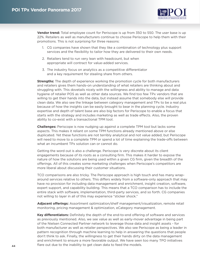

**Vendor trend:** Total employee count for Periscope is up from 350 to 550. The user base is up 22%. Retailers as well as manufacturers continue to choose Periscope to help them with their promotions. This is not surprising for three reasons:

- 1. CG companies have shown that they like a combination of technology plus support services and the flexibility to tailor how they are delivered to their own needs.
- 2. Retailers tend to run very lean with headcount, but when appropriate will contract for value-added services.
- 3. The industry focus on analytics as a competitive differentiator and a key requirement for stealing share from others.

**Strengths:** The depth of experience working the promotion cycle for both manufacturers and retailers gives them hands-on understanding of what retailers are thinking about and struggling with. This dovetails nicely with the willingness and ability to manage and data hygiene of retailer POS as well as other data sources. We find too few TPx vendors that are willing to get their hands into the data, but instead assume that somebody else will provide clean data. We also see the linkage between category management and TPx to be a real plus because of how the insights can be easily brought to bear in the planning cycle. Industry expertise and depth of talent base are also big factors for Periscope to enable a focus that starts with the strategy and includes marketing as well as trade effects. Also, the proven ability to co-exist with a transactional TPM tool.

**Challenges:** Periscope is now nudging up against a complete TPM tool but lacks some aspects. This makes it reliant on some TPM functions already mentioned above or else duplicated. Yet these functions are not terribly analytical and not value added, but Periscope will need to move to a complete TPM or spend a lot of time explaining the trade-offs between what an incumbent TPx solution can or cannot do.

Getting the word out is also a challenge. Periscope is very discrete about its client engagements because of its roots as a consulting firm. This makes it harder to expose the nature of how the solutions are being used within a given CG firm, given the breadth of the offerings. All of this creates some marketing challenges when Periscope's competitors are more liberal about discussing their customer situations.

TCO comparisons are also tricky. The Periscope approach is high touch and has many wraparound services relative to others. This differs widely from a software-only approach that may have no provision for including data management and enrichment, insight creation, software, expert support, and capability building. This means that a TCO comparison has to include the entire stack with software, implementation, third-party services, and so forth. CG companies not willing to layer in all of this may experience "sticker shock."

**Adjacent offerings:** Assortment optimization/shelf management/visualization, remote retail monitoring, pricing management & optimization, eCategory management.

**Key differentiators:** Definitely the depth of the end-to-end offering of software and services as previously mentioned. Also, we see value as well as early-mover advantage in being part of the Nielsen Connected Partner network to leverage those data and insight assets - for both manufacturer as well as retailer perspectives. We also see Periscope as being a leader in pattern recognition through machine learning to help in answering the questions that people don't think to ask. Finally, the willingness to get their hands dirty on the data management and enrichment to ensure a more favorable output. We have seen too many TPO initiatives flare out due to the inability to get clean data to feed the models.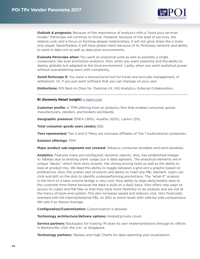

<span id="page-44-0"></span>**Outlook & prognosis:** Because of the importance of analytics with a "tools plus services model," Periscope will continue to thrive. However, because of the level of services, the relative cost, and a focus on forming deeper relationships, it will not grow share like a toolsonly player. Nevertheless, it will have global reach because of its McKinsey network and ability to work in data rich as well as data poor environments.

**Evaluate Periscope when:** You want an analytical suite as well as possibly a single component, like post promotion analytics. Also, when you want expertise and the ability to deploy globally but adapted to the local environment. Lastly, when you want analytical power without overwhelming users with complexity.

**Avoid Periscope if:** You want a transactional tool for funds and accruals management, or settlement. Or, if you just want software that you can manage on your own.

**Distinctions:** POI Best-in-Class for: Desktop UX, HQ Analytics, External Collaboration.

#### **RI (formerly Retail Insight)** [ri-team.com](http://www.ri-team.com)

**Customer profile:** A TPM offering from an analytics firm that enables consumer goods manufacturers, retailers, and brokers worldwide.

**Geographic presence:** EMEA (36%), AsiaPac (62%), LatAm (2%).

**Total consumer goods users (seats):** 625.

**Tiers represented:** Tier 2 and 3. Many are overseas affiliates of Tier 1 multinational companies.

**Solution offerings:** TPM.

**Major product sub-segments not covered:** Tobacco, consumer durables and semi-durables.

**Analytics:** Features many pre-configured, dynamic reports. Also, has established linkage to Tableau due to existing client usage, but is data agnostic. The analytical elements are in unique "decks," which form story boards. Has strong pricing tools as well as the ability to look at product mix. We liked the ability to toggle between a grid and a graphic based on preferences. Also, the scatter plot of events and ability to chart any P&L element. Users can click and drill on the dots to identify underperforming promotions. The "what-if" analysis in the form of a sales volume bridge is very cool. Nice ability to align daily/weekly data to the customer time frame because the data is built on a daily basis. Also offers new ways to access its cubes and flat files so that they have more flexibility to do analysis and are not at the mercy of back-end system. This also increases speed and reduces cost. Very financially oriented with full internal/external P&L on SKU or event levels with side-by-side comparisons. We rate it as Above Average.

**Configuration/Customization:** Customization is allowed.

**Technology architecture/delivery options:** Hosted/private cloud.

**Service partners:** Rackspace for hosting. RI does its own implementations through its offices in Bentonville, USA; the U.K.; or Singapore.

**Technology partners:** Tableau and High Charts for data reporting and visualization.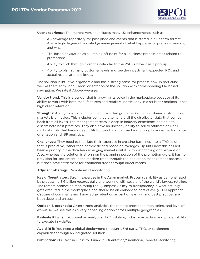

**User experience:** The current version includes many UX enhancements such as:

- A knowledge repository for past plans and events that is stored in a uniform format. Also a high degree of knowledge management of what happened in previous periods, and why.
- Tile-based navigation as a jumping off point for all business process areas related to promotions.
- Ability to click through from the calendar to the P&L or have it as a pop-up.
- Ability to plan at many customer levels and see the investment, expected ROI, and actual results at those levels.

The solution is intuitive, ergonomic and has a strong sense for process flow. In particular we like the "Learn, Plan, Track" orientation of the solution with corresponding tile-based navigation. We rate it Above Average.

**Vendor trend:** This is a vendor that is growing its voice in the marketplace because of its ability to work with both manufacturers and retailers, particularly in distributor markets. It has high client retention.

**Strengths:** Ability to work with manufacturers that go to market in multi-tiered distribution markets is unrivaled. This includes being able to handle all the distributor data that comes back from all levels. The management team is deep in industry experience and able to disseminate best practices. They also have an uncanny ability to sell to affiliates of Tier 1 multinationals that have a deep SAP footprint in other markets. Strong financial performance orientation and IBP analytics.

**Challenges:** They need to translate their expertise in creating baselines into a TPO solution that is predictive, rather than arithmetic and based on averages. Up until now this has not been a priority in the data-lean emerging markets but it is important for global expansion. Also, whereas the solution is strong on the planning portion of the promotion cycle, it has no provision for settlement in the modern trade through the deduction management process, but does have settlement for traditional trade through direct means.

**Adjacent offerings:** Remote retail monitoring.

**Key differentiators:** Strong expertise in the Asian market. Proven scalability as demonstrated by processing 3.6 billion records daily and working with several of the world's largest retailers. The remote promotion monitoring tool (Compass) is key to transparency in what actually gets executed in the marketplace and should be an embedded part of every TPM approach. Capture of comments and knowledge retention as part of learning and best practices are both deep and unique.

**Outlook & prognosis:** Given strong analytics, the remote promotion monitoring, and level of expertise, we see this as a very appealing option across multiple geographies.

**Evaluate RI when:** You want an analytical TPM solution, industry expertise, and proven ability to execute in AsiaPac.

**Avoid RI if:** You need a global deployment through a 3rd party, TPO, or settlement capabilities through an integrated solution.

**Distinction:** POI Best-in-Class for Financial Orientation/Simulation, Remote Monitoring.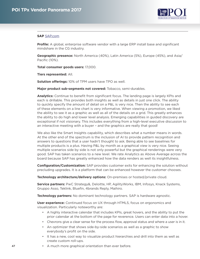

### <span id="page-46-0"></span>**SAP** [SAP.com](http://www.SAP.com)

**Profile:** A global, enterprise software vendor with a large ERP install base and significant mindshare in the CG industry.

**Geographic presence:** North America (40%), Latin America (5%), Europe (45%), and Asia/ Pacific (10%).

**Total consumer goods users:** 17,000.

**Tiers represented:** All.

**Solution offerings:** 10% of TPM users have TPO as well.

**Major product sub-segments not covered:** Tobacco, semi-durables.

**Analytics:** Continue to benefit from significant focus. The landing page is largely KPIs and each is drillable. This provides both insights as well as details in just one click. The ability to quickly specify the amount of detail on a P&L is very nice. Then the ability to see each of these elements on a line chart is very informative. When viewing a promotion, we liked the ability to see it as a graphic as well as all of the details on a grid. This greatly enhances the ability to do high and lower level analysis. Emerging capabilities in guided discovery are exceptional if not visionary. This includes everything from a high-level executive discussion to an interactive meeting with a buyer – and the graphics are really that good!

We also like the Smart Insights capability, which describes what a number means in words. At the other end of the spectrum is the inclusion of AI to provide pattern recognition and answers to questions that a user hadn't thought to ask. Being able to see baselines for multiple products is a plus. Having P&L by month as a graphical view is very nice. Seeing multiple scenarios side by side is not only powerful but the graphical renderings were very good. SAP has taken scenarios to a new level. We rate Analytics as Above Average across the board because SAP has greatly enhanced how the data renders as well its insightfulness.

**Configuration/Customization:** SAP provides customer exits for enhancing the solution without precluding upgrades. It is a platform that can be enhanced however the customer chooses.

**Technology architecture/delivery options:** On-premises or hosted/private cloud.

**Service partners:** PwC Strategy&, Deloitte, HP, AgilityWorks, IBM, Infosys, Knack Systems, Gruppo Asso, Teklink, Bluefin, 4brands Reply, Maihiro.

**Technology partners:** No dominant technology partners. SAP is hardware agnostic.

**User experience:** Continued focus on UX through HTML5, focus on ergonomics and visualization. Particularly noteworthy are:

- A highly interactive calendar that includes KPIs, great hovers, and the ability to put the prior calendar at the bottom of the page for reverence. Users can enter data into a hover.
- Chevrons give a clear sense for the process flow, approval status and where a user is in it.
- An optimizer that shows side-by-side scenarios as well as a graphic to show everybody's profit on the side.
- It has a new, cool way to visualize product hierarchies and drill into them as well as create custom roll-ups.
- A much more graphical orientation than ever before.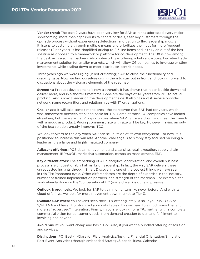

**Vendor trend:** The past 2 years have been very key for SAP as it has addressed every major shortcoming, more than captured its fair share of deals, seen key customers through the upgrade process without experiencing defections, and begun to flex leadership muscle. It listens to customers through multiple means and prioritizes the input for more frequent releases (2 per year). It has simplified pricing to 2-3 line items and is truly an out of the box solution as opposed to a framework or platform for co-development. The UX is now among the best, as is also the roadmap. Also noteworthy is offering a hub-and-spoke, two –tier trade management solution for smaller markets, which will allow CG companies to leverage existing investments while scaling down to meet distributor-centric needs.

Three years ago we were urging (if not criticizing) SAP to close the functionality and usability gaps. Now we find ourselves urging them to stay out in front and looking forward to discussions about the visionary elements of the roadmap.

**Strengths:** Product development is now a strength. It has shown that it can buckle down and deliver more, and in a shorter timeframe. Gone are the days of 4+ years from PPT to actual product. SAP is now a leader on the development side. It also has a vast service provider network, name recognition, and relationships with IT organizations.

**Challenges:** It will take some time to break the stereotype that SAP had for years, which was somewhere between stark and basic for TPx. Some of those CG companies have looked elsewhere, but there are Tier 2 opportunities where SAP can scale down and meet their needs with a modular product. Pricing commensurate with size will be key. However, having an outof-the box solution greatly improves TCO.

We look forward to the day when SAP can sell outside of its own ecosystem. For now, it is positioned to increase this win rate. Another challenge is to simply stay focused on being a leader as it is a large and highly matrixed company.

**Adjacent offerings:** POS data management and cleansing, retail execution, supply chain management, IBP/S&OP, marketing automation, campaign management, ERP.

**Key differentiators:** The embedding of AI in analytics, optimization, and overall business process are unquestionably hallmarks of leadership. In fact, the way SAP delivers these unrequested insights through Smart Discovery is one of the coolest things we have seen in this TPx Panorama cycle. Other differentiators are the depth of expertise in the industry, number of trained implementation partners, and strength of the roadmap. For example, the work already done on the "conversational UI" (voice driven) is quite impressive.

**Outlook & prognosis:** We look for SAP to gain momentum like never before. And with its cloud offerings, we look for more movement down market to Tier 3.

**Evaluate SAP when:** You haven't seen their TPx offering lately. Also, if you run ECC6 or S/4HANA and haven't customized your data tables. This will lead to a much smoother and more as "advertised" integration. Finally, if you are looking for a TPx partner with a complete commercial vision for consumer goods, from demand creation to demand fulfillment to invoicing and beyond.

**Avoid SAP if:** You want cheap and basic TPx. Also, if you want a bundled offering of solution and services.

**Distinctions:** POI Best-in-Class for Field Analytics/Insight, Financial Orientation/Simulation, Post Event Analytics (through embedded Strategy& capabilities), Calendar.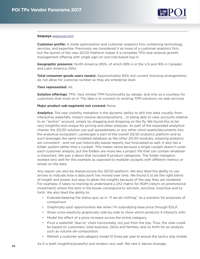

#### <span id="page-48-0"></span>**Sequoya** [sequoya.com](http://www.sequoya.com)

**Customer profile:** A trade optimization and customer analytics firm combining technology, services, and expertise. Previously we considered it as more of a customer analytics firm, but the launch of the new 20/20 Platform makes it a complete TPO and revenue growth management offering with single sign-on and role-based log-in.

**Geographic presence:** North America (85%, of which 69% is in the U.S and 16% in Canada) and Latin America (15%).

**Total consumer goods users (seats):** Approximately 600, but current licensing arrangements do not allow for a precise number as they are enterprise level.

#### **Tiers represented:** All.

**Solution offerings:** TPO. Very limited TPM functionality by design, and only as a courtesy for customers that insist on it. The idea is to connect to existing TPM solutions via web services.

#### **Major product sub-segments not covered:** None.

**Analytics:** The new visibility metaphor is the dynamic ability to drill into data visually, from interactive waterfalls, instant volume decompositions, , to being able to view accounts relative to an "anchor" account, simply by dragging and dropping on the fly. We found this to be very insightful and unique for pricing and other analyses. As part of the expanded analytical charter, the 20/20 solution can pull spreadsheets or any other client assets/documents into the analytical ecosystem. Landscape is part of the overall 20/20 analytics platform and as such leverages the same modeled database as the other 20/20 modules, meaning analytics are consistent - and not just historically based reports, but forecasted as well. It also has a folder system rather than a cockpit. This makes sense because a single cockpit doesn't cover each customer analysis, but the folders are more like a project file that can contain whatever is important. We saw a demo that included 9 product categories. The folder metaphor worked very well for this example as opposed to multiple cockpits with different metrics or lenses on the data.

Any report can also be shared across the 20/20 platform. We also liked the ability to use arrows to indicate how a data point has moved over time. We found it to be the right blend of insight and power, but easy to glean the insights because of the way they are rendered. For example, it takes no training to understand a 2X2 matrix for ROPI (return on promotional investment) where the dots in the boxes correspond to win/win, win/lose, lose/lose and so forth. We also liked the ability to:

- Evaluate keeping the status quo, as in "if we do nothing," as a scenario for purposes of comparison.
- Graphically spot opportunities like when I'm subsidizing base price through EDLP.
- Show cross-elasticity graphically side-by-side to show which products it interacts with.
- Model the effect of a price increase across the entire category.
- Pivot a waterfall "due to" chart horizontally, not just from the top. Thus, the view could be based on customers, total business, SKUs and families, and so forth for an analysis such as volume de-composition.
- Refresh a customer and category model 12 times per year to ensure the tactics stay nimble.

As it is both insightful/powerful and renders very well. We rate it Above Average.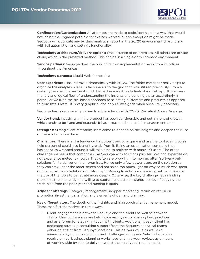

**Configuration/Customization:** All attempts are made to code/configure in a way that would not inhibit the upgrade path. So far this has worked, but an exception might be made. Sequoya will duplicate any existing analytical report in the 20/20 environment chart library with full automation and settings functionality.

**Technology architecture/delivery options:** One instance of on-premises. All others are private cloud, which is the preferred method. This can be in a single or multitenant environment.

**Service partners:** Sequoya does the bulk of its own implementation work from its offices throughout the Americas.

**Technology partners:** Liquid Web for hosting.

**User experience:** Has improved dramatically with 20/20. The folder metaphor really helps to organize the analyses. 20/20 is far superior to the grid that was utilized previously. From a usability perspective we like it much better because it really feels like a web app. It is a userfriendly and logical flow of understanding the insights and building a plan accordingly. In particular we liked the tile-based approach to selecting customers and products as opposed to from lists. Overall it is very graphical and only utilizes grids when absolutely necessary.

Sequoya has taken usability to nearly sublime levels with 20/20. We rate it Above Average.

**Vendor trend:** Investment in the product has been considerable and out in front of growth, which tends to be "land and expand." It has a seasoned and stable management team.

**Strengths:** Strong client retention; users come to depend on the insights and deepen their use of the solutions over time.

**Challenges:** There is still a tendency for power users to acquire and use the tool even though field personnel could also benefit greatly from it. Being an optimization company that has analytics wrapped around it will take time to register with many HQ users. The other challenge we see is that companies like Sequoya with solutions plus services and expertise do not experience meteoric growth. They often are brought in to mop up after "software only" solutions fail to deliver on their promises. Hence only a few power users on the solution so they can stay under the radar screen and not shine too much light on why so much was spent on the big software solution or custom app. Moving to enterprise licensing will help to allow the use of the tools to penetrate more deeply. Otherwise, the key challenge lies in finding prospects that are ready and willing to capture and act on insights instead of copying the trade plan from the prior year and running it again.

**Adjacent offerings:** Category management, shopper marketing, return on return on promotion investment analytics, and elements of demand planning.

**Key differentiators:** The depth of the insights and high touch client engagement model. These manifest themselves in three ways:

1. Client engagement is between Sequoya and the clients as well as between clients. User conferences are held twice each year for sharing best practices and as a forum for staying in touch with clients. Additionally, each client has dedicated strategic consulting support from the Sequoya analytical teams either on-site or from Sequoya locations. This delivers value as well as a means of staying in touch with client challenges and goals. Select clients also receive annual business planning workshops and mid-year reviews as a means of working side by side to deliver against their analytical requirements.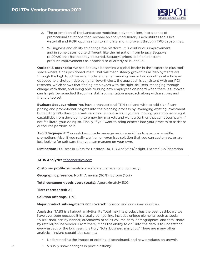

- <span id="page-50-0"></span>2. The orientation of the Landscape modoleas a dynamic lens into a series of promotional situations that become an analytical library. Each utilizes tools like waterfall and ROPI optimization to simulate and improve it through TPO capabilities.
- 3. Willingness and ability to change the platform. It is continuous improvement and in some cases, quite different, like the migration from legacy Sequoya to 20/20 that has recently occurred. Sequoya prides itself on constant product improvements as opposed to quarterly or bi-annual.

**Outlook & prognosis:** We see Sequoya becoming a global leader in the "expertise plus tool" space where it has positioned itself. That will mean steady growth as all deployments are through the high touch service model and entail winning one or two countries at a time as opposed to a shotgun deployment. Nevertheless, the approach is consistent with our POI research, which shows that finding employees with the right skill sets, managing through change with them, and being able to bring new employees on board when there is turnover, can largely be remedied through a staff augmentation approach along with a strong and friendly toolset.

**Evaluate Sequoya when:** You have a transactional TPM tool and wish to add significant pricing and promotional insights into the planning process by leveraging existing investment but adding TPO through a web services call-out. Also, if you are moving your applied insight capabilities from developing to emerging markets and want a partner that can accompany, if not facilitate, your doing so. Finally, if you want to bring experts into your process to assist or outsource portions of it.

**Avoid Sequoya if:** You seek basic trade management capabilities to execute or settle promotions. Also, if you really want an on-premises solution that you can customize, or are just looking for software that you can manage on your own.

**Distinction:** POI Best-in-Class for Desktop UX, HQ Analytics/Insight, External Collaboration.

#### **TABS Analytics** [tabsanalytics.com](http://www.tabsanalytics.com)

**Customer profile:** An analytics and data management company.

**Geographic presence:** North America (90%), Europe (10%).

**Total consumer goods users (seats):** Approximately 500.

**Tiers represented:** All.

**Solution offerings:** TPO.

**Major product sub-segments not covered:** Tobacco and consumer durables.

**Analytics:** TABS is all about analytics. Its Total Insights product has the best dashboard we have ever seen because it is visually compelling, includes unique elements such as social "buzz" data, ads by banner, breakdown of sales volume data, demographics, and total share by retailer/online vendor. From there, it has the ability to drill into the details to understand every aspect of the business. It is truly "total business analytics." There are many other analytical insight capabilities such as:

- Understanding the impact of existing, discontinued, and new products on growth.
- Visually show changes in price elasticity.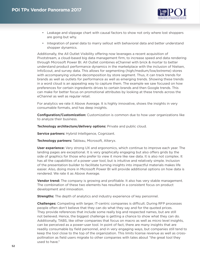

- Leakage and slippage chart with causal factors to show not only where lost shoppers are going but why.
- Integration of panel data to marry sellout with behavioral data and better understand shopper dynamics.

Additionally, the All Outlet Visibility offering now leverages a recent acquisition of Pivotstream, a cloud-based big data management firm, to increase speed and data rendering through Microsoft Power BI. All Outlet combines eChannel with brick & mortar to better understand product performance dynamics in the marketplace with the inclusion of Nielsen, InfoScout, and survey data. This allows for segmenting (high/medium/low/extreme) stores with accompanying volume decomposition by store segment. Thus, it can track trends for brands as well as outlets for performance as well as emerging trends. Showing these trends in a word cloud is an appealing way to capture them. The example we saw focused on how preferences for certain ingredients drives to certain brands and then Google trends. This can make for better focus on promotional attributes by looking at these trends across the eChannel as well as regular retail.

For analytics we rate it Above Average. It is highly innovative, shows the insights in very consumable formats, and has deep insights.

**Configuration/Customization:** Customization is common due to how user organizations like to analyze their business.

**Technology architecture/delivery options:** Private and public cloud.

**Service partners:** Hybrid Intelligence, Cognizant.

**Technology partners:** Tableau, Microsoft, Alteryx.

**User experience:** Very strong UX and ergonomics, which continue to improve each year. The landing pages are exceptional. It is very graphically engaging but also offers grids by the side of graphics for those who prefer to view it more like raw data. It is also not complex. It has all the capabilities of a power user tool, but is intuitive and relatively simple. Inclusion of the presentation builder to facilitate turning insights into impactful materials makes life easier. Also, doing more in Microsoft Power BI will provide additional options on how data is rendered. We rate it as Above Average.

**Vendor trend:** The company is growing and profitable. It also has very stable management. The combination of these two elements has resulted in a consistent focus on product development and innovation.

**Strengths:** The depth of analytics and industry experience of key personnel.

**Challenges:** Competing with larger, IT-centric companies is difficult. During RFP processes people often don't believe that they can do what they say and for the quoted prices. They provide references that include some really big and respected names, but are still not believed. Hence, the biggest challenge is getting a chance to show what they can do. Additionally, TABS, like other companies that focus on macro as well as micro level insights, can be perceived as a power-user tool. In point of fact, there are many insights that are readily consumable by field personnel, and in very engaging ways, but companies still tend to keep the tool close to the top of the organization. This limits license revenue as well as crosspollination as field users migrate to other companies with tales about "the great tool they used to have."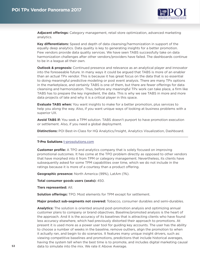

<span id="page-52-0"></span>**Adjacent offerings:** Category management, retail store optimization, advanced marketing analytics.

**Key differentiators:** Speed and depth of data cleansing/harmonization in support of the equally deep analytics. Data quality is key to generating insights for a better promotion. Few vendors provide data quality services. We have seen TABS successfully take on data harmonization challenges after other vendors/providers have failed. The dashboards continue to be in a league all their own.

**Outlook & prognosis:** Continued presence and relevance as an analytical player and innovator into the foreseeable future. In many ways it could be argued that TABS is more of an enabler than an actual TPx vendor. This is because it has great focus on the data that is so essential to doing meaningful predictive modeling or post event analysis. There are many TPx options in the marketplace, and certainly TABS is one of them, but there are fewer offerings for data cleansing and harmonization. Thus, before any meaningful TPx work can take place, a firm like TABS has to prepare the key ingredient, the data. This is why we see TABS in more and more data projects of late and why it is a critical player in this space.

**Evaluate TABS when:** You want insights to make for a better promotion, plus services to help you along the way. Also, if you want unique ways of looking at business problems with a superior UX.

**Avoid TABS if:** You seek a TPM solution. TABS doesn't purport to have promotion execution or settlement. Also, if you need a global deployment.

**Distinctions:** POI Best-in-Class for HQ Analytics/Insight, Analytics Visualization, Dashboard.

#### **T-Pro Solutions** [t-prosolutions.com](http://www.t-prosolutions.com)

**Customer profile:** A TPO and analytics company that is solely focused on improving promotional outcomes. It has come at the TPO problem directly as opposed to other vendors that have morphed into it from TPM or category management. Nevertheless, its clients have subsequently asked for some TPM capabilities over time, which we do not include in the ratings because it is more of a courtesy than a product offering.

**Geographic presence:** North America (99%), LatAm (1%).

**Total consumer goods users (seats):** 450.

**Tiers represented:** All.

**Solution offerings:** TPO. Most elements for TPM except for settlement.

**Major product sub-segments not covered:** Tobacco, consumer durables and semi-durables.

**Analytics:** The solution is oriented around post-promotion analysis and optimizing annual customer plans to company or brand objectives. Baseline/promoted analysis is the heart of the approach. And it is the accuracy of its baselines that is attracting clients who have found less accuracy elsewhere, which had previously distorted their approach to promotions. At present it is used more as a power user tool for guiding key accounts. The user has the ability to choose a number of weeks in the baseline, remove outliers, align the promotion to when it actually ran, and begin to do scenarios. It features many unique insight drivers, such as: viewing competitive baselines and promotions, predictions that include historical averages, having the system tell when the best time is to promote, and includes digital marketing causal data to simulate into the mix. We rate it Above Average.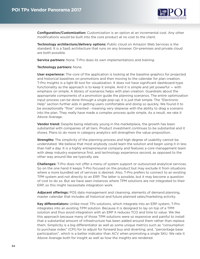

**Configuration/Customization:** Customization is an option at an incremental cost. Any other modifications would be built into the core product at no cost to the client.

**Technology architecture/delivery options:** Public cloud on Amazon Web Services is the standard. It is a SaaS architecture that runs on any browser. On-premises and private cloud are both possible.

**Service partners:** None. T-Pro does its own implementations and training.

#### **Technology partners:** None.

**User experience:** The core of the application is looking at the baseline graphics for projected and historical baselines on promotions and then moving to the calendar for plan creation. T-Pro Insights is a light BI tool for visualization. It does not have significant dashboard-type functionality as the approach is to keep it simple. And it is simple and yet powerful — with emphasis on simple. A library of scenarios helps with plan creation. Guardrails about the appropriate components of a promotion guide the planning scenarios. The entire optimization input process can be done through a single pop-up; it is just that simple. The "Electronic Help" section further aids in getting users comfortable and doing so quickly. We found it to be exceptionally "flow" oriented - meaning very stepwise with the ability to drag a scenario into the plan. They really have made a complex process quite simple. As a result, we rate it Above Average.

**Vendor trend:** Despite being relatively young in the marketplace, the growth has been substantial with companies of all tiers. Product investment continues to be substantial and it shows. Plans to do more in category analytics will strengthen the value proposition.

**Strengths:** The simplicity of the planning process and high degree of usability cannot be understated. We believe that most anybody could learn the solution and begin using it in less than half a day. It is a highly entrepreneurial company and features a core management team with deep industry experience first, and technology experience second, as opposed to the other way around like we typically see.

**Challenges:** T-Pro does not offer a menu of system support or outsourced analytical services. So on the one hand it keeps T-Pro focused on the product but may exclude it from situations where a more bundled set of services is desired. Also, T-Pro prefers to connect to an existing TPM system and not directly to an ERP. The latter is possible, but it may become a question of cost to do so. But we have seen instances where TPM solutions are not integrated to their ERP, so this might necessitate integration work.

**Adjacent offerings:** POS data management and cleansing, elements of demand planning, master calendar that includes all historical and future planned sales/marketing activity.

**Key differentiators:** Unlike most TPx solutions, which integrate into an ERP system, T-Pro integrates into an existing TPM solution. Because it is designed to lay on top of a TPM solution and thus avoid integration with an ERP it reduces TCO and time to value. We like this approach because many of those TPM solutions were so expensive and painful to install that a substantial amount of infrastructure has been added around them rather than replace them. Simplicity is a big differentiator as well as some unique metrics such as "consumption to purchase index" (CPI) for to adjust for forward buy and diverting; and, "percentage base participation", which is a better indicator than ACV when promoting a single SKU. We rate it Above Average both for insight as well as how the insights are rendered.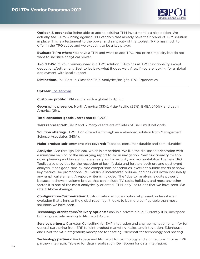

<span id="page-54-0"></span>**Outlook & prognosis:** Being able to add to existing TPM investment is a nice option. We actually see T-Pro winning against TPO vendors that already have their brand of TPM solution in place. This is a testament to the power and simplicity of the toolset. T-Pro has much to offer in the TPO space and we expect it to be a key player.

**Evaluate T-Pro when:** You have a TPM and want to add TPO. You prize simplicity but do not want to sacrifice analytical power.

**Avoid T-Pro if:** Your primary need is a TPM solution. T-Pro has all TPM functionality except deductions/settlement. Best to let it do what it does well. Also, if you are looking for a global deployment with local support.

**Distinctions:** POI Best-in-Class for Field Analytics/Insight, TPO Ergonomics.

#### **UpClear** [upclear.com](http://www.upclear.com)

**Customer profile:** TPM vendor with a global footprint.

**Geographic presence:** North America (33%), Asia/Pacific (25%), EMEA (40%), and Latin America (2%).

**Total consumer goods users (seats):** 2,200.

**Tiers represented:** Tier 2 and 3. Many clients are affiliates of Tier 1 multinationals.

**Solution offerings:** TPM. TPO offered is through an embedded solution from Management Science Associates (MSA).

**Major product sub-segments not covered:** Tobacco, consumer durable and semi-durables.

**Analytics:** Are through Tableau, which is embedded. We like the tile-based orientation with a miniature version of the underlying report to aid in navigation. New functionality for topdown planning and budgeting are a real plus for visibility and accountability. The new TPO Toolkit also provides for the reception of key lift data and furthers both pre and post event analysis. It has good side-by-side comparisons of scenarios, excellent bubble charts to show key metrics like promotional ROI versus % incremental volume, and has drill down into nearly any graphical element. A report writer is included. The "due to" analysis is quite powerful because it shows a volume bridge that can include TV, radio, holidays, and most any other factor. It is one of the most analytically oriented "TPM-only" solutions that we have seen. We rate it Above Average.

**Configuration/Customization:** Customization is not an option at present, unless it is an evolution that aligns to the global roadmap. It looks to be more configurable than most solutions we have seen.

**Technology architecture/delivery options:** SaaS in a private cloud. Currently it is Rackspace but progressively moving to Microsoft Azure.

**Service partners:** Clarkston Consulting for SAP integration and change management; Infor for general partnering from ERP to joint product marketing /sales, and integration; Edenhouse and Pivot for SAP integration; Rackspace for hosting; Microsoft for technology and hosting.

**Technology partners:** Rackspace and Microsoft for technology and architecture. Infor as ERP partner/integrator. Tableau for data visualization. Dell Boomi for data integration.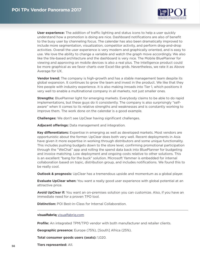

<span id="page-55-0"></span>**User experience:** The addition of traffic lighting and status icons to help a user quickly understand how a promotion is doing are nice. Dashboard notifications are also of benefit to the busy user by channeling focus. The calendar has also been dramatically improved to include more segmentation, visualization, competitor activity, and perform drag-and-drop activities. Overall the user experience is very modern and graphically oriented, and is easy to use. We love the ability to change a variable and watch the graph move accordingly. We also like the tile-based architecture and the dashboard is very nice. The Mobile BluePlanner for viewing and approving on mobile devices is also a real plus. The Intelligence product could be more graphical as we favor charts over Excel-like grids. Nevertheless, we rate it as Above Average for UX.

**Vendor trend:** The company is high-growth and has a stable management team despite its global expansion. It continues to grow the team and invest in the product. We like that they hire people with industry experience. It is also making inroads into Tier 1, which positions it very well to enable a multinational company in all markets, not just smaller ones.

**Strengths:** BluePlanner light for emerging markets. Everybody claims to be able to do rapid implementations, but these guys do it consistently. The company is also surprisingly "selfaware" when it comes to its relative strengths and weaknesses and is constantly working to improve them. The work done on the calendar is a good example.

**Challenges:** We don't see UpClear having significant challenges.

**Adjacent offerings:** Data management and integration.

**Key differentiators:** Expertise in emerging as well as developed markets. Most vendors are opportunistic about the former. UpClear does both very well. Recent deployments in Asia have given it more expertise in working through distributors and some unique functionality. This includes pushing budgets down to the store level, confirming promotional participation through the "WeChat" app and rolling the spend data back into BluePlanner for budgeting and invoice matching. Low deployment and ongoing costs relative to other solutions. This is an excellent "bang for the buck" solution. Microsoft Yammer is embedded for internal collaboration based on topic, distribution group, and includes notifications. We found this to be really cool.

**Outlook & prognosis:** UpClear has a tremendous upside and momentum as a global player.

**Evaluate UpClear when:** You want a really good user experience with global potential at an attractive price.

**Avoid UpClear if:** You want an on-premises solution you can customize. Also, if you have an immediate need for a proven TPO tool.

**Distinction:** POI Best-in-Class for Internal Collaboration.

#### **visualfabriq** [visualfabriq.com](http://www.visualfabriq.com)

**Profile:** An integrated TPM/TPO vendor with both manufacturer and retailer clients.

**Geographic presence:** Europe (75%), [South] Africa (25%).

**Total consumer goods users (seats):** 1,020.

**Tiers represented:** All.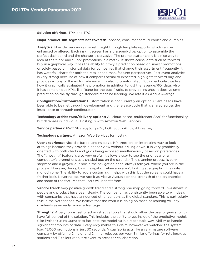

**Solution offerings:** TPM and TPO.

**Major product sub-segments not covered:** Tobacco, consumer semi-durables and durables.

**Analytics:** Now delivers more market insight through template reports, which can be enhanced or altered. Each insight screen has a drag-and-drop option to assemble the perfect dashboard and the change is pervasive. The promo scatter chart is a nice way to look at the "Top" and "Flop" promotions in a matrix. It shows causal data such as forward buy in a graphical way. It has the ability to proxy a prediction based on similar promotions or solely based on historical data for companies that change their assortment frequently. It has waterfall charts for both the retailer and manufacturer perspectives. Post event analytics is very strong because of how it compares actual to expected, highlights forward buy, and provides a copy of the ad for reference. It is also fully automated. But in particular, we like how it graphically evaluated the promotion in addition to just the revenue/ROI data. Also, it has some unique KPIs, like "bang for the buck" ratio, to provide insights. It does volume prediction on the fly through standard machine learning. We rate it as Above Average.

**Configuration/Customization:** Customization is not currently an option. Client needs have been able to be met through development and the release cycle that is shared across the install base or through configuration.

**Technology architecture/delivery options:** All cloud-based, multitenant SaaS for functionality but database is individual. Hosting is with Amazon Web Services.

**Service partners:** PWC Strategy&, EyeOn, EOH South Africa, ATKearney.

**Technology partners:** Amazon Web Services for hosting.

**User experience:** Nice tile-based landing page. KPI trees are an interesting way to look at things because they provide a deeper view without drilling down. It is very graphically oriented with both charts and grids being exposed simultaneously based on preferences. The "ghosting" feature is also very useful. It allows a user to see the prior year or a competitor's promotions as a shaded box on the calendar. The planning process is very stepwise and a greyed-out box in the navigation panel always tells you where you are in the process. However, during basic navigation when you aren't looking at a graphic, it is quite monochrome. The ability to add a custom skin helps with this, but the screens could have a fresher look. Nevertheless, we rate it as Above Average on the strength of the ergonomics and some of the features that users will benefit from.

**Vendor trend:** Very positive growth trend and a strong roadmap going forward. Investment in people and product have been steady. The company has consistently been able to win deals with companies that have announced other vendors as the global standard. This is particularly true in the Netherlands. We believe that the work it is doing on machine learning will pay dividends as an early mover advantage.

**Strengths:** A very robust set of administrative tools that should allow the user organization to have full control of the solution. This includes the ability to get inside of the predictive models (like Python) using Jupyter to facilitate the modeling in a repeatable way. Ability to handle significant amounts of data. Everybody makes this claim, however we watched the system load 15,000 promotions in just 30 seconds. Visualfabriq acts like a very mature software company by offering 2 major and 2 minor releases per year. Similar offerings for retailers/gas stations and E-tailers keep it relevant to areas for collaboration.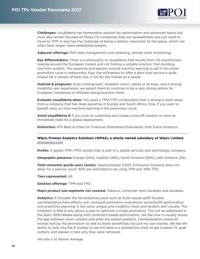

<span id="page-57-0"></span>**Challenges:** visualfabriq has tremendous passion for optimization and advanced topics but must also remain focused on those CG companies that use spreadsheets and just need to move to TPM. It also has the challenge of being a relative newcomer to the space, which can often favor larger, more established players.

**Adjacent offerings:** POS data management and cleansing, remote retail monitoring.

**Key differentiators:** There is a philosophy in visualfabriq that results from CG practitioners looking around the European market and not finding a suitable solution, then building one from scratch. The expertise and passion around machine learning to aid in the entire promotion cycle is noteworthy. Also, the willingness to offer a data load service is quite unique for a vendor of their size, if not for the market as a whole.

**Outlook & prognosis:** Given solid growth, excellent vision, clients of all sizes, and a strong/ insightful user experience, we expect them to continue to be a very strong option for European companies or affiliates doing business there.

**Evaluate visualfabriq when:** You want a TPM/TPO combination that is strong in both areas from a company that has deep expertise in Europe and South Africa. Also, if you want to benefit early on from machine learning in the promotion cycle.

**Avoid visualfabriq if:** If you wish to customize and create a one-off solution or have an immediate need for a global deployment.

**Distinction:** POI Best-in-Class for Financial Orientation/Simulation, Post Event Analytics.

**Wipro Promax Analytics Solutions (WPAS), a wholly owned subsidiary of Wipro Limited.**  [promaxtpo.com](http://www.promaxtpo.com)

**Profile:** A global TPM /TPO vendor that is part of a global services and technology company.

**Geographic presence:** Europe (24%), AsiaPac (44%), North America (30%), Latin America (2%).

**Total consumer goods users (seats):** Approximately 5,200. Enterprise licensing does not allow for a precise count. 60% are estimated to be using TPM and 40% TPO.

**Tiers represented:** All.

**Solution offerings:** TPM and TPO.

**Major product sub-segments not covered:** Tobacco, consumer semi-durables and durables.

**Analytics:** It includes the full analytical stack such as multi-causal uplift models, cannibalization/halo effects, pre- and post-promotion evaluations, price/profit optimization, and predictive planning. It has some unique and insightful views and renders well visually. The limitation is that it only allows a user to optimize a single promotion. This will be addressed in the April, 2018 release along with constraint-based optimization. We like how it visually shows the gap between what I predict and what the system predicts. Cannibalization shows all brands hurt by the promotion as well as those benefitted, not just my own brands. We like the ability to look into the R models to see the data in a plotted line chart to get a better fit, grab outliers, and explain in text why they were removed.

We rate it as Above Average.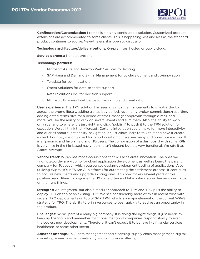

**Configuration/Customization:** Promax is a highly configurable solution. Customized product extensions are accommodated to some clients. This is happening less and less as the standard product continues to evolve. Nevertheless, it is open to discussion.

**Technology architecture/delivery options:** On-premises, hosted or public cloud.

**Service partners:** None at present.

#### **Technology partners:**

- Microsoft Azure and Amazon Web Services for hosting.
- SAP Hana and Demand Signal Management for co-development and co-innovation.
- Teradata for co-innovation.
- Opera Solutions for data scientist support.
- Retail Solutions Inc. for decision support.
- Microsoft Business Intelligence for reporting and visualization.

**User experience:** The TPM solution has seen significant enhancements to simplify the UX across the promo library, adding a snap buy period, revamping broker commissions/reporting, adding dated terms (like for a period of time), manager approvals through e-mail, and more. We like the ability to click on several events and sum them. Also, the ability to work on a scenario to where it is just right and click "publish" to push it to the TPM solution for execution. We still think that Microsoft Cortana integration could make for more interactivity and queries about functionality, navigation, or just allow users to talk to it and have it create a chart. For now, it is only used for report creation but we see many additional possibilities. It is ergonomic and favors field and HQ users. The combination of a dashboard with some KPIs is very nice in the tile-based navigation. It isn't elegant but it is very functional. We rate it as Above Average.

**Vendor trend:** WPAS has made acquisitions that will accelerate innovation. The ones we find noteworthy are Appirio for cloud application development as well as being the parent company for Topcoder, which outsources design/development/coding of applications. Also utilizing Wipro HOLMES (an AI platform) for automating the settlement process. It continues to acquire new clients and upgrade existing ones. This now makes several years of this positive trend. Plans to upgrade the UX more often and take optimization deeper show focus on the right things.

**Strengths:** An integrated, but also a modular approach to TPM and TPO plus the ability to deploy TPO on top of an existing TPM. We see considerably more of this in recent wins with several TPO deployments on top of SAP TPM, which is a major element of the current WPAS strategy for TPO. The ability to bring resources to bear quickly to address an opportunity in the product.

**Challenges:** WPAS part of a really big company. It is doing the right things; it just needs to keep up the focus and remember that consumer good companies respond slowly to even the coolest new developments. Therefore, it can't expect it to behave like financial services, healthcare, or some other sector.

**Adjacent offerings:** POS data management and cleansing, supply chain management, digital marketing, a new on-shelf availability and compliance offering.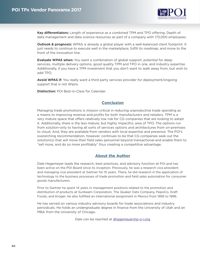

<span id="page-59-0"></span>**Key differentiators:** Length of experience as a combined TPM and TPO offering. Depth of data management and data science resources as part of a company with 173,000 employees.

**Outlook & prognosis:** WPAS is already a global player with a well-balanced client footprint. It just needs to continue to execute well in the marketplace, fulfill its roadmap, and move to the front of the innovation line.

**Evaluate WPAS when:** You want a combination of global support, potential for deep services, multiple delivery options, good quality TPM and TPO in one, and industry expertise. Additionally, if you have a TPM investment that you don't want to walk away from, but wish to add TPO.

**Avoid WPAS if:** You really want a third party services provider for deployment/ongoing support that is not Wipro.

**Distinction:** POI Best-in-Class for Calendar.

# **Conclusion**

Managing trade promotions is mission critical in reducing unproductive trade spending as a means to improving revenue and profits for both manufacturers and retailers. TPM is a very mature space that offers relatively low risk for CG companies that are looking to adopt it. Additionally, there is the less mature, but highly impactful, area of TPO. The options run from solution-only to having all sorts of services options and architectures from on-premises to cloud. And, they are available from vendors with local expertise and presence. The POI's overarching recommendation, however, continues to be that CG companies seek out the solution(s) that will move their field sales personnel beyond transactional and enable them to "sell more, and do so more profitably" thus creating a competitive advantage.

# **About the Author**

Dale Hagemeyer leads the research, best practices, and advisory function at POI and has been active on the POI Board since its inception. Previously, he was a research vice president and managing vice president at Gartner for 15 years. There, he did research in the application of technology to the business processes of trade promotion and field sales automation for consumer goods manufacturers.

Prior to Gartner he spent 14 years in management positions related to the promotion and distribution of products at Sunbeam Corporation, The Quaker Oats Company, PepsiCo, Kraft Foods, and Kroger. He also fulfilled an international assignment in Mexico from 1995 to 1996.

He has served on various industry advisory boards for trade associations and industry periodicals. He holds an undergraduate degree in finance from the University of Utah and an MBA from the University of Chicago.

Dale can be reached at dhagemeyer@p-o-i.org